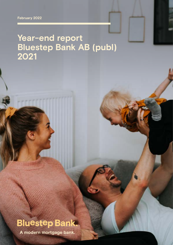**February 2022**

# **Year-end report Bluestep Bank AB (publ) 2021**



**A modern mortgage bank.**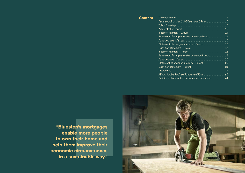Content [The year in brief](#page-2-0) Comments from the Chi [This is Bluestep](#page-4-0) [Administration report](#page-5-0) Income statement - Gro Statement of comprehen Balance sheet - Group Statement of changes in Cash flow statement -  $G$ Income statement - Par Statement of comprehen [Balance sheet - Parent](#page-9-0) Statement of changes in Cash flow statement - P [Disclosures](#page-11-0) Affirmation by the Chief Definition of alternative



"Bluestep's mortgages enable more people to own their home and help them improve their economic circumstances in a sustainable way."

|                       | 4              |
|-----------------------|----------------|
| ef Executive Officer  | 6              |
|                       | $\overline{8}$ |
|                       | 10             |
| up                    | 14             |
| nsive income - Group  | 14             |
|                       | 15             |
| equity - Group        | 16             |
| roup                  | 17             |
| ent<br>.              | 18             |
| nsive income - Parent | 18             |
|                       | 19             |
| equity - Parent       | 20             |
| <u>arent</u>          | 21             |
|                       | 22             |
| Executive Officer     | 43             |
|                       | 44             |
| performance measures  |                |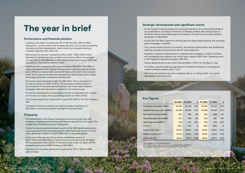## Strategic development and significant events

- As the Swedish Financial Supervisory Authority decided not to extend their dividend recommendation, the Board of Directors of Bluestep Holding AB (owning 100% of the Bank) held an extraordinary general meeting in October announcing a dividend distribution of SEK 250m.
- During 2021 the Bank signed the UN Principles for Responsible Banking, and launched green mortgages in Sweden.
- The common Nordic function for lending- and deposit administration was established, realising synergies and paving the way for future expansion.
- Expansion of equity-release product in Sweden and mortgages in Finland continue, and outstanding loan balances per end of year is approx. SEK 0.8bn. Operating result is still negatively impacted by approx. SEK 50m.
- Pontus Sardal joined as new Chief Financial Officer ("CFO") for the Bank in July.
- In October, Julia Ehrhardt was appointed to the Board of Directors, increasing the number of Board members from 7 to 8.
- The Covid-19 pandemic has had no material effects on neither profit- nor volume development during the year.

| 117   1941 V                          |                     |                     |          |                |                |         |  |
|---------------------------------------|---------------------|---------------------|----------|----------------|----------------|---------|--|
|                                       | H <sub>2</sub> 2021 | H <sub>2</sub> 2020 | $\Delta$ | <b>FY 2021</b> | <b>FY 2020</b> | Δ       |  |
| Lending to the public (MSEK)          | 18 3 3 3            | 16 116              | 14%      | 18 3 3 3       | 16 116         | 14%     |  |
| Deposits from the public (MSEK)       | 10 4 26             | 12 613              | $-17%$   | 10 4 26        | 12613          | $-17%$  |  |
| Net interest income (MSEK)            | 421                 | 396                 | 6%       | 833            | 809            | 3%      |  |
| <b>Operating expenses (MSEK)</b>      | 273                 | 295                 | $-8%$    | 533            | 581            | $-8%$   |  |
| <b>Operating profit (MSEK)</b>        | 144                 | 115                 | 25%      | 325            | 215            | 51%     |  |
| $C/1$ (%) $^{1,2}$                    | 64%                 | 73%                 | $-8$     | 62%            | 69%            | -8      |  |
| Credit losses (%) <sup>1,2,3</sup>    | 0.07%               | $-0.04%$            | 0.12     | 0.04%          | 0.25%          | $-0.21$ |  |
| Return on Equity (%) <sup>1,2,3</sup> | 12.3%               | 10.6%               | 1.70     | 14.6%          | 10.1%          | 4.43    |  |
| CET1 ratio $(%)1$                     | 16.4%               | 19.7%               | $-3.26$  | 16.4%          | 19.7%          | $-3.26$ |  |

*1 The change is in percentage points*

*2 Alternative performance measures, see page 44 for definitions 3 Key figures related to H2 are annualised to full year values*

# <span id="page-2-0"></span>The year in brief

## Performance and financial position

- Lending to the public increased by 14% to SEK 18 333m (SEK 16 116m). Adjusted for currency effects the increase was 10%. All countries are showing a positive portfolio development, mainly driven by increased lending to customer segments with lower risk.
- New lending for the year increased by 16% to SEK 7 169m (SEK 6 197m). Adjusted for the personal loan portfolio and currency effects the increase was also 16%, as the difference in new lending of personal loans in 2020 was equivalent to the currency effects in 2021.
- Operating profit increased by 51% and amounted to SEK 325m (SEK 215m). A stable net interest income together with decreased operating expenses mainly due to efficiency improvements during 2021 have contributed to the increased profit. The C/I ratio for the Bank has decreased to a level of 62%, which is eight percentage points less compared to previous year.
- Net credit losses amounted to SEK 7m (SEK 40m). This is equivalent to a credit loss level of 0.04% (0.25%). The decrease is mainly related to the divestment of the personal loan portfolio, but credit losses related to mortgages have also decreased compared to the previous year.
- The positive development of operating profit also contributed to an increase on the return on equity of four percentage points to 14.6% (10.1%).
- The Common Equity Tier 1 ratio ("CET1") was 16.4% (19.7%). The CET1-target is 16%.
- The Board of Directors propose an ordinary dividend distribution of SEK 300m to the annual general meeting for fiscal year 2021.

## Financing

- The diversification of the Group's financing continued during the year, with increased outstanding bond volumes and reduced deposits from the public. The change has contributed to a lower funding cost.
- During the second quarter the Bank issued its first NOK-denominated senior unsecured bond. The volume amounted to NOK 200m with a tenor of three years, which was increased to NOK 550m later in the same quarter.
- At the end of the year, the Group had an outstanding volume of SEK 2 050m and NOK 550m in senior unsecured bonds (under the Bank's MTN-programme), SEK 5 300m in covered bonds (under the Bank's MTCNprogramme) as well as RMBS funding of SEK 492m.
- Deposits from the public decreased as planned by 17% to SEK 10 426m (SEK 12 613m).

## Key Figures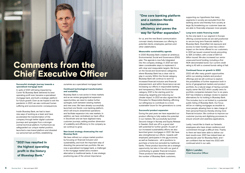### Successful strategic journey towards a specialised mortgage bank

In spite of 2021 still being impacted by Covid-19, Bluestep Bank delivered its best operating profit ever, became a specialised mortgage bank, and built a strategic platform for future growth. Even as we hoped to exit the pandemic in 2021, we saw continued human suffering and socioeconomic consequences.

Inside Bluestep Bank, we had to learn new ways of working as a team and have accelerated the transformation of the company through better digital customer journeys and synergies from a stronger central technical platform. Furthermore we safeguarded our unique market position, launched a new brand platform and divested our personal loan portfolio, establishing

ourselves as a specialised mortgage bank.

### Continued technological transformation and scalability

Bluestep Bank is now active in three markets and as we review geographical expansion opportunities, we need to realize further synergies, both between existing markets and new ones. We have already successfully launched one Nordic core banking platform, which will ensure streamlined operations and facilitate expansion into new markets. In addition, we have centralised our back office in Stockholm and we have digitised many customer journeys, adding another dimension of scalability and efficiency to the company as we continue to grow.

### New brand strategy showcasing the real Bluestep Bank

We have refined our unique market position by focusing on financial inclusion and sustainability, and took the important step of divesting the personal loan portfolio. We are now a specialised mortgage bank, a challenger in the mortgage market and a modern alternative to traditional banks. A new strategic positioning was of the utmost importance

## "One core banking platform and a common Nordic backoffice ensures efficiency and paves the way for further expansion."

"2021 has resulted in the highest operating profit in the history of Bluestep Bank."

for us, and the new Brand communication concept clearly showcases our offering to potential clients, employees, partners and other stakeholders.

## Measurable sustainability agenda

In 2020 Bluestep Bank created an ambitious Environmental, Social and Governance (ESG) plan. The agenda is now fully integrated into the company strategy. In 2021 we have taken considerable steps to implement it with clear and measurable targets. We focus on the Social and Governance categories, where Bluestep Bank has a clear role to play in society. Within the Social category, Bluestep Bank will continue to work for increased financial inclusion and financial empowerment, and within Governance we are increasing our efforts in responsible banking and transparency. Within the Environmental category, 2021 is the starting point for measuring, targeting and reducing our climate impact. In 2021 we also signed the UN Principles for Responsible Banking, affirming our willingness to contribute to a more sustainable future for the generations to come.

### Successful product expansion

During the past years we have expanded our product offering to fully realise the potential in our markets. We successfully launched Second charge in Norway and Equity Release in Sweden. Both are off to a good start with potential for further growth. As part of our increased sustainability efforts we also launched green mortgages in 2021. We have also strengthened our efforts towards selfemployed, participants in the gig economy as well as freelancers - all in positions to purchase a home but excluded by traditional banks. These product launches are a strategic opportunity, but also in line with our goal of contributing to greater financial inclusion. These products have already increased the number of Bluestep Bank customers,

supporting our hypothesis that many segments in society are excluded from the banking sector and thereby from society at large. By broadening our customer base we are able to financially empower more people.

### Long term stable financing model

As the only bank in our segment in Europe offering covered bonds we are well positioned to secure long term financial stability for Bluestep Bank. Diversified risk exposure and access to lower funding costs has a direct impact on the terms offered to our customers. In 2021 we issued covered bonds amounting to SEK 2.4 billion, with a total of SEK 5.3 billion issued. We also increased our senior unsecured bond funding, including a first NOK-denominated bond. Our current credit rating is A3 with a covered bonds rating of Aa1.

### Continued focus on growth in 2022

2022 will offer many growth opportunities within our existing markets and product offerings and we will continue to explore the possibilities of further expansion both in terms of geographical markets and product portfolio. As a natural stage of having a private equity owner like EQT, which usually owns its portfolio companies between four to six years, EQT has initiated a strategic review to explore alternatives for its holding in Bluestep Bank. This includes, but is not limited to, a potential public listing of Bluestep Bank. Our focus will be on making mortgages accessible to more people, allowing them to take charge of their personal finances thereby driving more financial inclusion. We continue to improve our customer journey and digitising processes to ensure smooth and seamless applications.

Lastly, I would like to thank our fantastic employees who have shown resilience and commitment through a difficult time. Thanks to them we have been able to deliver our best results ever. 2021 has indeed been an spectacular year for Bluestep Bank, and I am confident that we head into 2022 with continued wind in our sails.

## **Björn Lander, Chief Executive Officer**

# <span id="page-3-0"></span>Comments from the Chief Executive Officer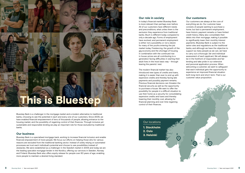## Our locations

## 1. Stockholm

- 2. Oslo
- 3. Helsinki

Bluestep Bank is a challenger in the mortgage market and a modern alternative to traditional banks, choosing to see the potential in each and every one of our customers. Since 2005, we have enabled financial empowerment of tens of thousands of people, allowing entrance to the housing market, and the possibility of regaining control of their finances. Through inclusive yet sustainable and responsible lending we play an important role for those excluded by traditional banks.

## Our business

Bluestep Bank is a specialised mortgage bank, working to increase financial inclusion and enable financial empowerment of more people. We focus our efforts on helping those who for various reasons are excluded from the traditional banking sector. Instead of solely relying on automated processes we trust each individual's potential and choose to see possibilities instead of obstacles. We were established as a challenger in the Swedish market in 2005 and today we are the leading specialist mortgage lender in the Nordics, offering our services in Sweden, Norway and Finland. Bluestep Bank also offers equity release for people over 60 years of age, enabling more people to maintain a desired living standard.



2

<span id="page-4-0"></span>

## Our role in society

In today's financial market Bluestep Bank is more relevant than perhaps ever before. All of our customers have different needs and preconditions, what unites them is the exclusion they experience from traditional banks. Much is different today compared to only a decade ago. Forms of employment have evolved, and permanent employment is either not a possibility or not a desire for many of the youths entering the job market today. Freelancing, the growth of the gig economy and the shortage of housing in combination with the continued rise in house-prices are all contributing to a generation facing difficulties in starting their adult lives in the most basic way – through leaving the parents' nest.

The modern financial market has also introduced new types of credits and loans, making it is easier than ever to end up with expensive credits and thereby facing late payments and possibly payment remarks. Previous financial decisions can threaten the financial security as well as the opportunity to purchase a house. We want to offer the possibility for people in a difficult situation to use their home as a security for consolidating expensive credits and loans and thereby lowering their monthly cost, allowing for financial planning and over time regaining control of their finances.

## Our customers

Our customers are always at the core of everything we do. Our customer base consists of people wanting to purchase a home, but lack a permanent employment, have historic payment remarks or have limited credit history. Many also consolidate their debts into their mortgage, making it possible to significantly lower their monthly interest payments. Bluestep Bank is subject to the same rules and regulations as the traditional banks, and although we have the objective to support as many people as we can, we have to carry out a thorough, fair and individual assessment of each applicant. We will always be in the forefront of responsible and fair lending and take pride in our extensive and personal application process. When welcoming a customer, we want to safeguard that each individual gets the opportunity to experience an improved financial situation both long-term and short-term. That is our customer value proposition.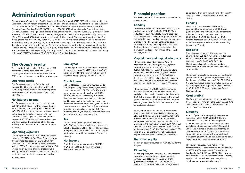# <span id="page-5-0"></span>Administration report

Bluestep Bank AB (publ) ("the Bank", also called "Parent"), org no 556717-5129 with registered offices in Stockholm, Sweden, hereby presents the interim accounts and group accounts for the period 1 January 2021 — 31 December 2021. The Group is comprised of the Bank and the wholly-owned subsidiaries: Bluestep Finans Funding No 1 AB ("BFF1"), org no 556791-6928 with registered offices in Stockholm, Sweden, Bluestep Mortgage Securities No 2 Designated Activity Company ("Step 2"), org no 522186 with registered offices in Dublin, Ireland, Bluestep Mortgage Securities No 3 Designated Activity Company ("Step 3"), org no 550839 with registered offices in Dublin, Ireland, Bluestep Mortgage Securities No 4 Designated Activity Company ("Step 4"), org no 596111 with registered offices in Dublin, Ireland, and Bluestep Servicing AB ("BSAB"), org no 556955-3927 with registered offices in Stockholm, Sweden. All financial information is provided for the Group if not otherwise stated, while the regulatory information refers to the legal entity Bluestep Bank AB (publ) or the consolidated situation which Bluestep reports to the Swedish Financial Supervisory Authority ("SFSA"). The consolidated situation consists of Bluestep Holding AB ("BHAB"), the Bank, BSAB, BFF1, Step 2, Step 3 and Step 4.

## The Group's results

The period refers to 1 July — 31 December 2021 compared to same period the previous year. The full year refers to 1 January - 31 December 2021 compared to same period the previous year.

## Operating profit

The Group's operating profit for the period increased by 25% and amounted to SEK 144m (SEK 115m). For the full year the operating profit increased by 51% and amounted to SEK 325m (SEK 215m).

## Net interest income

The Group's net interest income amounted to SEK 421m (SEK 396m). For the full year the net interest income increased by 3% to SEK 833m (SEK 809m). The net interest income has remained stable despite the sale of the personal loan portfolio, which last year showed a net interest income of SEK 73m, through increased volumes and the ongoing diversification of the Group's funding, which has contributed to lower interest expenses.

## Operating expenses

The Group´s expenses for the period decreased by 8% to SEK 273m (SEK 295m). For the full year the expenses decreased by 8% to SEK 533m (SEK 581m). C/I before credit losses decreased to 62% (69%). The improvement of the Bank's C/I ratio is driven by more efficient processes, but also by the transformation to one common Nordic back-office for the Bank's deposit and lending administration.

## **Employees**

The average number of employees in the Group during the year was 272 (275), of which 66 (67) were employed by the Norwegian branch and 15 (9) were employed by the Finnish branch.

## Credit losses

Net credit losses for the period amounted to SEK 7m (SEK -4m). For the full year, the credit losses decreased to SEK 7m (SEK 40m), which corresponds to a credit loss level of 0.04% (0.25%). The decrease is mainly due to the divestment of the personal loan portfolio, but credit losses related to mortgages have also decreased compared to previous year. Due to the long-term uncertainty of Covid-19, an additional provision was established during 2020. The provision has not yet been dissolved and the year end balance for 2021 was SEK 5.4m.

## Tax

The tax expenses amounted to SEK 69m (SEK 61m) for the year, which corresponds to an effective tax rate of 21.2% (28.4%). The deviation from previous year's nominal tax rate of 21.4% is attributable to taxable temporary differences in Norway.

## Net income

Profit for the period amounted to SEK 117m (SEK 81m). Profit for the year amounted to SEK 256m (SEK 154m).

## Financial position

Per 31 December 2021 compared to same date the previous year.

## Lending

The Group's total loan portfolio increased by 14% and amounted to SEK 18 333m (SEK 16 116m). Adjusted for currency effects, the increase was 10%. The positive volume development is foremost driven by increased lending in customer segments with lower risk. The Swedish mortgage portfolio, including the equity release product, accounts for 59% of the total lending to the public, the Norwegian mortgages for 40% and the Finnish mortgages for 1%.

## Capital base and capital adequacy

The common equity tier 1 capital ("CET1") amounted to SEK 1 390m (SEK 1 617m) for the consolidated situation, and SEK 1 410m (SEK 1 606m) for the Parent. This is equivalent to a CET1 capital ratio of 16.4% (19.7%) for the consolidated situation, and 17.1% (20.2%) for the Parent. The CET1 capital ratio is the same as the total capital ratio, as both the consolidated situation and the Parent only have CET1 capital.

The decrease of the CET1 capital is related to the extra dividend distribution in October 2021 and also includes a deduction for the dividend of SEK 300m proposed by the Board to the annual general meeting for the Bank and BHAB, thereby affecting the capital for both the Parent and the consolidated situation.

In August the SFSA announced they would not extend their limitations on dividend distributions after the third quarter of the year. In October, the Board of BHAB (owns 100% of the Bank) held an extraordinary general meeting deciding on a dividend distribution from the Bank to BHAB of SEK 205m to be able to pay a dividend of SEK 250m to the owners of BHAB. The Bank's target is a CET1 ratio of 16%. For further information regarding capital base and capital adequacy, see Note 7.

## Return on equity

Return on equity amounted to 14.6% (10.1%) for the full year.

## Financing

At end of period, the Group's sources of financing consisted of equity, deposits from the public in Sweden and Norway, issuance of RMBS (Residential Mortgage Backed Securities, i.e. bonds with underlying Swedish mortgage assets

as collateral through the wholly-owned subsidiary Step 4), covered bonds and senior unsecured bonds.

## Funding

The Bank´s outstanding volume of senior unsecured bonds amounted to SEK 2 050m (SEK 2 000m) and NOK 550m. The outstanding volume of covered bonds amounted to SEK 5 300m (SEK 2 900m) and the RMBSfunding decreased to SEK 492m (SEK 746m) due to the ongoing amortisations of the outstanding transaction (Step 4).

## **Deposits**

Total deposits from the public amounted to SEK 10 426m (SEK 12 613m), which is a decrease of 17%. Deposits in the Norwegian Branch amounted to SEK 6 335m (SEK 8 024m). The decrease is due to continued funding diversification, in favour of covered- and senior unsecured bonds.

The deposit products are covered by the Swedish government deposit guarantee, which since the 1st of January 2021 amounts to SEK 1 050 000. In Norway, the deposit products are also covered by the Norwegian deposit guarantee, which amounts to NOK 2 000 000 via the Norwegian Banks' Guarantee Fund.

## Credit rating

The Bank´s credit rating (long-term deposit rating from Moody´s) is A3 with stable outlook since June 2020. The Bank´s covered bonds have a credit rating of Aa1 from Moody´s.

## **Liquidity**

At end of period, the Group´s liquidity reserve amounted to SEK 2 334m (SEK 3 000m), of which SEK 1 147m (SEK 1 877m) was placed with credit institutions, SEK 356m (SEK 402m) was placed with central banks, SEK 283m (SEK 286m) was invested in Swedish and Norwegian covered bonds and SEK 548m (SEK 328m) was invested in bonds issued by the Swedish and Norwegian governments or municipalities. All bond investments had credit ratings of AAA / Aaa.

The liquidity coverage ratio ("LCR") for all currencies in the Consolidated situation amounted to 496% (439%) at year-end. The Net Stable Funding Ratio ("NSFR") was 130% (133%) at yearend. Both the LCR and NSFR exceed the internally applied limits as well as minimum regulatory requirements by a substantial margin.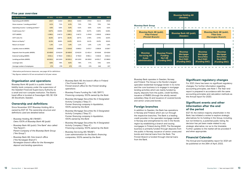## Five year overview

| Key figures   Group                                 | H <sub>2</sub> 2021 | H <sub>2</sub> 2020 | 2021       | 2020     | 2019       | 2018      | 2017      |
|-----------------------------------------------------|---------------------|---------------------|------------|----------|------------|-----------|-----------|
| <b>Operating profit (MSEK)</b>                      | 143.7               | 115.0               | 325.2      | 215.5    | 274.5      | 212.2     | 250.8     |
| Gross revenue / Lending portfolio <sup>1,2</sup>    | 6.1%                | 7.1%                | 6.3%       | 7.2%     | 7.5%       | 7.5%      | 7.4%      |
| Operating income / Lending portfolio <sup>1,2</sup> | 4.8%                | 5.0%                | 5.0%       | 5.2%     | 5.5%       | 5.3%      | 5.3%      |
| Credit losses (%) <sup>1,2</sup>                    | 0.07%               | $-0.04%$            | 0.04%      | 0.25%    | 0.37%      | 0.35%     | 0.25%     |
| CET1 (MSEK)                                         | 1 3 9 0.1           | 1 617.2             | 1 3 9 0.1  | 1617.2   | 1 474.9    | 1 303.0   | 1063.8    |
| CET1 ratio (%)                                      | 16.4%               | 19.7%               | 16.4%      | 19.7%    | 17.9%      | 17.5%     | 15.0%     |
| Return on Equity <sup>1,2</sup>                     | 12.3%               | 10.6%               | 14.6%      | 10.1%    | 14.1%      | 13.0%     | 19.4%     |
| Return on Assets <sup>2</sup>                       | 1.4%                | 1.1%                | 1.6%       | 1.1%     | 1.5%       | 1.2%      | 1.6%      |
| Liquidity reserve (MSEK)                            | 2 3 3 4 .0          | 3 000.3             | 2 3 3 4 .0 | 3 000.3  | 2673.7     | 2555.9    | 3029.7    |
| Deposits from the public (MSEK)                     | 10 4 26.0           | 12 612.9            | 10 4 26.0  | 12 612.9 | 11 4 2 1.4 | 10 4 16.6 | 10 418.6  |
| External funding (MSEK)                             | 8 5 2 1 .1          | 5 702.0             | 8521.1     | 5 702.0  | 5 901.1    | 5432.6    | 4831.3    |
| Lending portfolio (MSEK)                            | 18 333.1            | 16 115.5            | 18 333.1   | 16 115.5 | 16 150.0   | 14 521.7  | 12 3 66.0 |
| Leverage ratio                                      | 6.6%                | 7.9%                | 6.6%       | 7.9%     | 7.7%       | 7.5%      | 6.4%      |
| Average number of employees                         | 271                 | 279                 | 272        | 275      | 274        | 243       | 227       |

*1 Alternative performance measures, see page 44 for definitions*

*2 Key figures related to H2 are annualised to full year values*

## Organisation and operations

Bluestep Bank AB (publ) is a public limited liability bank company under the supervision of the Swedish Financial Supervisory Authority as a small and non-complex institution. The Bank's head office is located at Sveavägen 163, SE-104 35 Stockholm, Sweden.

## Ownership and definitions

Since November 2017 Bluestep Holding AB is owned by EQT VII. The ownership structure and definitions used are detailed below:

- Bluestep Holding AB ("BHAB") *Owns 100% of Bluestep Bank AB (publ)*
- Bluestep Bank AB (publ) ("the Bank" also called "the Parent") *Parent Company of the Bluestep Bank Group*
- *("the Group")*
- Bluestep Bank AB, Oslo branch office ("the Norwegian Branch") *Norwegian branch office for the Norwegian deposit and lending operations*
- Bluestep Bank AB, the branch office in Finland ("the Finnish Branch"), *Finnish branch office for the Finnish lending*
- *operations*
- Bluestep Finans Funding No 1 AB ("BFF1") *Financing company, 100% owned by the Bank*
- Bluestep Mortgage Securities No 2 Designated Activity Company ("Step 2") *Former financing company in liquidation, 100% owned by the Bank*
- Bluestep Mortgage Securities No 3 Designated Activity Company ("Step 3") *Former financing company in liquidation, 100% owned by the Bank*
- Bluestep Mortgage Securities No 4 Designated Activity Company ("Step 4") *Financing company, 100% owned by the Bank*
- Bluestep Servicing AB ("BSAB") *Loan administration for the Bank's financing companies, 100% owned by the Bank*

Bluestep Bank operates in Sweden, Norway and Finland. The Group is the Nordic's largest specialist residential mortgage lender in its niche and the core business is to engage in mortgage lending activities which are mainly funded by equity, deposits from the public, credit facilities, issuance of RMBS (through the wholly owned subsidiary Step 4) and issuance of covered bonds and senior unsecured bonds.

## Foreign branches

In addition to Sweden, the Bank has operations in Norway and Finland, which are run through the respective branches. The Bank is a leading credit provider in the specialist mortgage market in Norway and strengthened its role in the Nordic region by establishing a branch and issuing mortgages in Finland during 2020. The Norwegian business is primarily funded through deposits from the public in Norway, issuance of senior unsecured bonds and internal loans from the Bank. The Finnish Branch is funded through internal loans from the Bank.

## Significant regulatory changes

For 2021, there has been no significant regulatory changes. For further information regarding accounting principles, see Note 1. The Year-end report is prepared in accordance with the same accounting principles and calculation methods as the Annual report for 2020.

## Significant events and other information after the end of the period

EQT VII, the indirect majority shareholder in the Bank, has initiated a review to explore strategic alternatives for its holding in the Group, including, but not limited to, a potential public listing. No decision has yet been made related to any strategic alternative, nor as to the timetable. Further updates to the market will be provided if and when appropriate.

## Financial Calendar

The Annual and Sustainability report for 2021 will be published on the 26th of April, 2022.

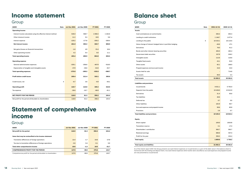# <span id="page-7-0"></span>Income statement

## Group

| <b>MSEK</b><br><b>Note</b>                                     | <b>Jul-Dec 2021</b> | <b>Jul-Dec 2020</b> | FY 2021  | FY 2020     |
|----------------------------------------------------------------|---------------------|---------------------|----------|-------------|
| <b>Operating income</b>                                        |                     |                     |          |             |
| Interest income calculated using the effective interest method | 535.0               | 568.7               | 1068.3   | 1 1 6 2 . 6 |
| Other interesst income                                         | 11.2                | 5.3                 | 19.5     | 5.6         |
| Interest expense                                               | $-125.2$            | $-177.8$            | $-255.2$ | $-359.4$    |
| Net interest income                                            | 421.0               | 396.2               | 832.7    | 808.9       |
| Net gains/losses on financial transactions                     | $-1.8$              | 4.9                 | 23.4     | 16.4        |
| Other operating income                                         | 4.2                 | 5.4                 | 8.8      | 11.1        |
| <b>Total operating income</b>                                  | 423.4               | 406.5               | 864.8    | 836.3       |
| <b>Operating expense</b>                                       |                     |                     |          |             |
| General administration expenses                                | $-235.1$            | $-256.6$            | $-467.9$ | $-518.0$    |
| Depreciation of tangible and intangible assets                 | $-37.9$             | $-38.6$             | $-64.8$  | $-62.7$     |
| <b>Total operating expenses</b>                                | $-273.0$            | $-295.2$            | $-532.8$ | $-580.7$    |
| <b>Profit before credit losses</b>                             | 150.4               | 111.4               | 332.1    | 255.6       |
| Credit losses, net                                             | 4<br>$-6.7$         | 3.6                 | $-6.9$   | $-40.1$     |
| <b>Operating profit</b>                                        | 143.7               | 115.0               | 325.2    | 215.5       |
| Tax expense                                                    | $-26.8$             | $-33.7$             | $-68.9$  | $-61.1$     |
| <b>NET PROFIT FOR THE PERIOD</b>                               | 116.9               | 81.3                | 256.3    | 154.4       |
| Net profit for the period attributable to shareholders         | 116.9               | 81.3                | 256.3    | 154.4       |

# Statement of comprehensive income

## Group

| <b>MSEK</b>                                                      | <b>Jul-Dec 2021</b> | <b>Jul-Dec 2020</b> | <b>FY 2021</b> | <b>FY 2020</b> |
|------------------------------------------------------------------|---------------------|---------------------|----------------|----------------|
| Net profit for the period                                        | 116.9               | 81.3                | 256.3          | 154.4          |
|                                                                  |                     |                     |                |                |
| Items that may be reclassified to the income statement           |                     |                     |                |                |
| Translation differences of foreign operations                    | 13.4                | $-1.7$              | 24.6           | $-27.6$        |
| Tax due to translation differences of foreign operations         | $-2.8$              | 0.4                 | $-5.1$         | 5.9            |
| <b>Total other comprehensive income</b>                          | 10.6                | $-1.3$              | 19.5           | $-21.7$        |
| <b>COMPREHENSIVE PROFIT FOR THE PERIOD</b>                       | 127.5               | 80.0                | 275.8          | 132.7          |
| Comprehensive profit for the period attributable to shareholders | 127.5               | 80.0                | 275.8          | 132.7          |

# Balance sheet

## Group

| MSEK<br>Note                                               | 2021-12-31 | 2020-12-31 |
|------------------------------------------------------------|------------|------------|
| Assets                                                     |            |            |
| Cash and balances at central banks                         | 356.4      | 402.3      |
| Lending to credit institutions                             | 1 1 4 6 .7 | 1877.4     |
| 5<br>Lending to the public                                 | 18 333.1   | 16 115.5   |
| Value change of interest-hedged items in portfolio hedging | $-46.6$    | 47.1       |
| <b>Derivatives</b>                                         | 76.0       | 41.2       |
| Bonds and other interest-bearing securities                | 493.0      | 482.4      |
| Government debt securities                                 | 337.9      | 238.2      |
| Intangible assets                                          | 112.6      | 116.8      |
| Tangible fixed assets                                      | 43.1       | 52.9       |
| Other assets                                               | 62.1       | 168.0      |
| Prepaid expenses and accrued income                        | 23.0       | 23.0       |
| Assets held for sale                                       |            | 714.6      |
| Tax assets                                                 | 65.0       | 2.2        |
| Total assets                                               | 21 002.2   | 20 281.6   |
| <b>Liabilities and provisions</b>                          |            |            |
| <b>Issued bonds</b>                                        | 8 5 2 1.1  | 5 702.0    |
|                                                            | 10 4 26.0  | 12 612.9   |
| Deposits from the public<br><b>Derivatives</b>             | 31.4       | 55.8       |
| <b>Tax liabilities</b>                                     | 48.6       |            |
| Deferred tax                                               | 0.7        | 0.5        |
|                                                            |            |            |
| <b>Other liabilities</b>                                   | 102.9      | 90.7       |
| Accrued expenses and prepaid income                        | 59.6       | 80.9       |
| Provisions                                                 | 2.8        | 0.7        |
| Total liabilities and provisions                           | 19 19 3.2  | 18543.4    |
| Equity                                                     |            |            |
| Share capital                                              | 100.0      | 100.00     |
| <b>Translation reserve</b>                                 | 2.1        | $-17.4$    |
| Shareholders' contribution                                 | 563.7      | 563.7      |
| <b>Retained earnings</b>                                   | 886.8      | 937.4      |
| Profit for the year                                        | 256.3      | 154.4      |
| Total equity                                               | 1809.0     | 1738.2     |
| <b>Total equity and liabilities</b>                        | 21 002.2   | 20 281.6   |

| MƏEN<br><b>NOTE</b>                                        | SOST-TS-2T | 2020-12-31 |
|------------------------------------------------------------|------------|------------|
| <b>Assets</b>                                              |            |            |
| Cash and balances at central banks                         | 356.4      | 402.3      |
| Lending to credit institutions                             | 1 1 46.7   | 1877.4     |
| 5<br>Lending to the public                                 | 18 333.1   | 16 115.5   |
| Value change of interest-hedged items in portfolio hedging | $-46.6$    | 47.1       |
| <b>Derivatives</b>                                         | 76.0       | 41.2       |
| Bonds and other interest-bearing securities                | 493.0      | 482.4      |
| Government debt securities                                 | 337.9      | 238.2      |
| Intangible assets                                          | 112.6      | 116.8      |
| Tangible fixed assets                                      | 43.1       | 52.9       |
| Other assets                                               | 62.1       | 168.0      |
| Prepaid expenses and accrued income                        | 23.0       | 23.0       |
| Assets held for sale                                       |            | 714.6      |
| Tax assets                                                 | 65.0       | 2.2        |
| <b>Total assets</b>                                        | 21 002.2   | 20 281.6   |
| <b>Liabilities and provisions</b>                          |            |            |
| <b>Issued bonds</b>                                        | 8 5 2 1.1  | 5 702.0    |
| Deposits from the public                                   | 10 4 26.0  | 12 612.9   |
| Derivatives                                                | 31.4       | 55.8       |
| <b>Tax liabilities</b>                                     | 48.6       |            |
| Deferred tax                                               | 0.7        | 0.5        |
| <b>Other liabilities</b>                                   | 102.9      | 90.7       |
| Accrued expenses and prepaid income                        | 59.6       | 80.9       |
| Provisions                                                 | 2.8        | 0.7        |
| <b>Total liabilities and provisions</b>                    | 19 19 3.2  | 18 543.4   |
|                                                            |            |            |
| Equity                                                     |            |            |
| Share capital                                              | 100.0      | 100.00     |
| <b>Translation reserve</b>                                 | 2.1        | $-17.4$    |
| Shareholders' contribution                                 | 563.7      | 563.7      |
| <b>Retained earnings</b>                                   | 886.8      | 937.4      |
| Profit for the year                                        | 256.3      | 154.4      |
| <b>Total equity</b>                                        | 1809.0     | 1738.2     |
| <b>Total equity and liabilities</b>                        | 21 002.2   | 20 281.6   |
|                                                            |            |            |

*As of the Interim report 2021, the Group presents accrued interest expenses on issued bonds as a part of the debt value in the balance sheet to harmonise with the lending and deposit items. Accrued interest expenses which earlier were classified as accrued expenses and prepaid income are now presented as issued bonds*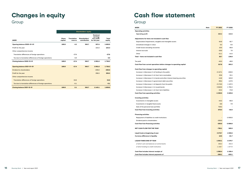# <span id="page-8-0"></span>Changes in equity

Group

|                                                          |                         |                               | <b>Shareholders' equity</b>          |                                                             |                 |
|----------------------------------------------------------|-------------------------|-------------------------------|--------------------------------------|-------------------------------------------------------------|-----------------|
| <b>MSEK</b>                                              | <b>Share</b><br>capital | <b>Translation</b><br>reserve | <b>Shareholders'</b><br>contribution | <b>Retained</b><br>earnings<br>incl. profit<br>for the year | Total<br>equity |
| Opening balance 2020-01-01                               | 100.0                   | 4.3                           | 563.7                                | 937.4                                                       | 1605.5          |
| Profit for the year                                      |                         |                               |                                      | 154.4                                                       | 154.4           |
| Other comprehensive income                               |                         |                               |                                      |                                                             |                 |
| Translation differences of foreign operations            |                         | $-27.6$                       |                                      |                                                             | $-27.6$         |
| Tax due to translation differences of foreign operations |                         | 5.9                           |                                      |                                                             | 5.9             |
| Closing balance 2020-12-31                               | 100.0                   | $-17.4$                       | 563.7                                | 1091.8                                                      | 1738.2          |
| Opening balance 2021-01-01                               | 100.0                   | $-17.4$                       | 563.7                                | 1091.8                                                      | 1738.2          |
| Dividend to shareholders                                 |                         |                               |                                      | $-205.0$                                                    | $-205.0$        |
| Profit for the year                                      |                         |                               |                                      | 256.3                                                       | 256.3           |
| Other comprehensive income                               |                         |                               |                                      |                                                             |                 |
| <b>Translation differences of foreign operations</b>     |                         | 24.6                          |                                      |                                                             | 24.6            |
| Tax due to translation differences of foreign operations |                         | $-5.1$                        |                                      |                                                             | $-5.1$          |
| Closing balance 2021-12-31                               | 100.0                   | 2.1                           | 563.7                                | 1143.1                                                      | 1809.0          |

# Cash flow statement

## Group

| <b>MSEK</b><br>Note                                                      | <b>FY 2021</b> | FY 2020     |
|--------------------------------------------------------------------------|----------------|-------------|
| <b>Operating activities</b>                                              |                |             |
| <b>Operating profit</b>                                                  | 325.2          | 215.5       |
|                                                                          |                |             |
| Adjustments for items not included in cash flow                          |                |             |
| Depreciation/impairments, tangible and intangible assets                 | 64.8<br>5.3    | 62.7<br>0.5 |
| Unrealised changes in value                                              | 15.5           | 80.8        |
| Credit losses excluding recoveries<br>Interest accruals                  | $-28.8$        | 7.0         |
| Other                                                                    | $-21.1$        | $-14.3$     |
| Total - Items not included in cash flow                                  | 35.7           | 136.8       |
|                                                                          |                |             |
| Tax paid                                                                 | $-43.3$        | -49.0       |
| Cash flow from current operations before changes to operating capital    | 317.6          | 303.2       |
| Cash flow from changes to operating capital                              |                |             |
| Increase (-)/decrease (+) of lending to the public                       | $-2$ 137.1     | $-838.5$    |
| Increase (-)/decrease (+) of short term receivables                      | 20.6           | 33.1        |
| Increase (-)/decrease (+) in bonds and other interest-bearing securities | $-14.8$        | 163.0       |
| Increase (-)/decrease (+) government debt securities                     | $-99.4$        | $-137.5$    |
| Increase (+)/decrease (-) of deposits from the public                    | $-2$ 174.0     | 1 187.2     |
| Increase (+)/decrease (-) in issued bonds                                | 2 840.0        | 1 793.2     |
| Increase (+)/decrease (-) of short term liabilities                      | $-22.4$        | $-73.9$     |
| <b>Cash flow from operating activities</b>                               | $-1269.5$      | 2429.8      |
| <b>Investing activities</b>                                              |                |             |
| Investments in intangible assets                                         | $-44.3$        | -56.0       |
| Investments in tangible fixed assets                                     | $-6.6$         | $-7.9$      |
| Sale of the personal loan portfolio                                      | 729.3          |             |
| <b>Cash flow from investing activities</b>                               | 678.4          | $-63.9$     |
|                                                                          |                |             |
| <b>Financing activities</b>                                              |                |             |
| Repayment of liabilities to credit institutions                          |                | -2 000.0    |
| Dividend paid to shareholders                                            | $-205.0$       |             |
| <b>Cash flow from financing activities</b>                               | $-205.0$       | $-2000.0$   |
| <b>NET CASH FLOW FOR THE YEAR</b>                                        | $-796.1$       | 365.9       |
| Liquid funds at beginning of year                                        | 2 2 7 9 . 7    | 1935.6      |
| <b>Currency difference in liquidity</b>                                  | 19.5           | $-21.7$     |
| <b>LIQUID FUNDS END OF YEAR</b>                                          | 1503.1         | 2 279.7     |
| of which cash and balances at central banks                              | 356.4          | 402.3       |
| of which lending to credit institutions                                  | 1 146.7        | 1877.4      |
|                                                                          |                |             |
| Cash flow includes interest receipts of                                  | 1088.4         | 1 158.4     |
| Cash flow includes interest payments of                                  | $-268.1$       | $-355.1$    |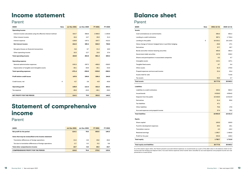# <span id="page-9-0"></span>Income statement

## Parent

| <b>MSEK</b><br><b>Note</b>                                     | <b>Jul-Dec 2021</b> | <b>Jul-Dec 2020</b> | FY 2021  | FY 2020   |
|----------------------------------------------------------------|---------------------|---------------------|----------|-----------|
| <b>Operating income</b>                                        |                     |                     |          |           |
| Interest income calculated using the effective interest method | 534.7               | 568.8               | 1068.0   | 1 1 5 0.8 |
| Other interest income                                          | 19.4                | 13.7                | 35.9     | 31.3      |
| Interest expense                                               | $-139.9$            | $-197.2$            | $-287.7$ | $-413.3$  |
| Net interest income                                            | 414.3               | 385.4               | 816.2    | 768.8     |
| Net gains/losses on financial transactions                     | $-5.6$              | 6.7                 | 21.3     | 18.9      |
| Other operating income                                         | 10.3                | 12.7                | 23.8     | 37.4      |
| <b>Total operating income</b>                                  | 419.0               | 404.8               | 861.4    | 825.2     |
| <b>Operating expense</b>                                       |                     |                     |          |           |
| General administration expenses                                | $-243.3$            | $-267.2$            | $-486.8$ | $-536.5$  |
| Depreciation of tangible and intangible assets                 | $-28.1$             | $-28.8$             | $-46.1$  | $-43.8$   |
| <b>Total operating expenses</b>                                | $-271.4$            | $-296.0$            | $-533.0$ | $-580.3$  |
| <b>Profit before credit losses</b>                             | 147.6               | 108.8               | 328.4    | 244.9     |
| Credit losses, net<br>4                                        | $-6.7$              | 3.6                 | $-6.9$   | $-40.6$   |
| <b>Operating profit</b>                                        | 140.9               | 112.4               | 321.6    | 204.3     |
| Tax expense                                                    | $-26.8$             | $-33.0$             | $-68.1$  | $-58.0$   |
| <b>NET PROFIT FOR THE PERIOD</b>                               | 114.1               | 79.5                | 253.5    | 146.3     |

# Statement of comprehensive income

Parent

| <b>MSEK</b>                                              | <b>Jul-Dec 2021</b> | <b>Jul-Dec 2020</b> | <b>FY 2021</b> | FY 2020 |
|----------------------------------------------------------|---------------------|---------------------|----------------|---------|
| Net profit for the period                                | 114.1               | 79.5                | 253.5          | 146.3   |
| Items that may be reclassified to the income statement   |                     |                     |                |         |
| Translation differences of foreign operations            | 13.4                | $-0.8$              | 25.6           | $-26.3$ |
| Tax due to translation differences of foreign operations | $-2.7$              | 0.2                 | $-5.3$         | 5.6     |
| Total other comprehensive income                         | 10.7                | $-0.6$              | 20.3           | $-20.7$ |
| <b>COMPREHENSIVE PROFIT FOR THE PERIOD</b>               | 124.8               | 78.8                | 273.9          | 125.6   |

# Balance sheet

## Parent

| Assets                                                     |
|------------------------------------------------------------|
| Cash and balances at central banks                         |
| Lending to credit institutions                             |
| Lending to the public                                      |
| Value change of interest-hedged items in portfolio hedging |
| <b>Derivatives</b>                                         |
| Bonds and other interest-bearing securities                |
| Government debt securities                                 |
| Shares and participations in associated companies          |
| Intangible assets                                          |
| Tangible fixed assets                                      |
| Other assets                                               |
| Prepaid expenses and accrued income                        |
| Assets held for sale                                       |
| Tax assets                                                 |
| <b>Total assets</b>                                        |
| <b>Liabilities</b>                                         |
| Liabilities to credit institutions                         |
| <b>Issued bonds</b>                                        |
| Deposits from the public                                   |
| Derivatives                                                |
| <b>Tax liabilities</b>                                     |
| <b>Other liabilities</b>                                   |
| Accrued expenses and prepaid income                        |
| <b>Total liabilities</b>                                   |
| Equity                                                     |
| Share capital                                              |
| Fund for development expenses                              |
| <b>Translation reserve</b>                                 |
| <b>Retained earnings</b>                                   |
| Profit for the year                                        |
| <b>Total equity</b>                                        |
| <b>Total equity and liabilities</b>                        |

| MSEK<br><b>Note</b>                                        | 2021-12-31 | 2020-12-31 |
|------------------------------------------------------------|------------|------------|
| Assets                                                     |            |            |
| Cash and balances at central banks                         | 356.4      | 402.3      |
| Lending to credit institutions                             | 987.1      | 1 7 1 6.4  |
| 5<br>Lending to the public                                 | 18 333.1   | 16 115.5   |
| Value change of interest-hedged items in portfolio hedging | $-46.6$    | 47.1       |
| <b>Derivatives</b>                                         | 57.7       | 16.7       |
| Bonds and other interest-bearing securities                | 493.0      | 482.4      |
| Government debt securities                                 | 337.9      | 238.2      |
| Shares and participations in associated companies          | 0.2        | 4.7        |
| Intangible assets                                          | 110.1      | 107.1      |
| Tangible fixed assets                                      | 6.7        | 5.4        |
| Other assets                                               | 61.0       | 170.0      |
| Prepaid expenses and accrued income                        | 22.4       | 22.4       |
| Assets held for sale                                       |            | 714.6      |
| Tax assets                                                 | 58.8       | 2.7        |
| Total assets                                               | 20 777.6   | 20 045.3   |
| Liabilities                                                |            |            |
| Liabilities to credit institutions                         | 329.4      | 582.2      |
| <b>Issued bonds</b>                                        | 8028.0     | 4954.5     |
| Deposits from the public                                   | 10 4 26.0  | 12 612.9   |
| <b>Derivatives</b>                                         | 31.4       | 55.8       |
| <b>Tax liabilities</b>                                     | 47.1       |            |
| <b>Other liabilities</b>                                   | 75.6       | 47.6       |
| Accrued expenses and prepaid income                        | 57.4       | 78.5       |
| Total liabilities                                          | 18 994.9   | 18 331.5   |
|                                                            |            |            |
| Equity                                                     |            |            |
| Share capital                                              | 100.0      | 100.0      |
| Fund for development expenses                              | 29.2       | 19.1       |
| <b>Translation reserve</b>                                 | 4.2        | $-16.2$    |
| <b>Retained earnings</b>                                   | 1 3 9 5.7  | 1464.6     |
| Profit for the year                                        | 253.5      | 146.3      |
| Total equity                                               | 1 782.7    | 1 713.8    |
| <b>Total equity and liabilities</b>                        | 20 777.6   | 20 045.3   |

*As of the Interim report 2021, the Parent presents accrued interest expenses on issued bonds as a part of the debt value in the balance sheet to harmonise with the lending and deposit items. Accrued interest expenses which earlier were classified as accrued expenses and prepaid income are now presented as issued bonds.*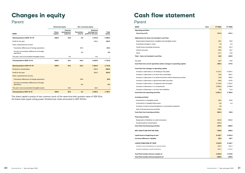# <span id="page-10-0"></span>Changes in equity

Parent

|                                                             | <b>Restricted equity</b> |                                            |                               | Non-restricted equity                                    |                 |
|-------------------------------------------------------------|--------------------------|--------------------------------------------|-------------------------------|----------------------------------------------------------|-----------------|
| <b>MSEK</b>                                                 | <b>Share</b><br>capital  | <b>Fund for</b><br>development<br>expenses | <b>Translation</b><br>reserve | <b>Retained</b><br>earnings incl.<br>profit for the year | Total<br>equity |
| Opening balance 2020-01-01                                  | 100.0                    | 10.8                                       | 4.5                           | 1473.0                                                   | 1588.2          |
| Profit for the year                                         |                          |                                            |                               | 146.3                                                    | 146.3           |
| Other comprehensive income                                  |                          |                                            |                               |                                                          |                 |
| Translation differences of foreign operations               |                          |                                            | $-26.3$                       |                                                          | $-26.3$         |
| Tax due to translation differences of foreign<br>operations |                          |                                            | 5.6                           |                                                          | 5.6             |
| The year's own accumulated intangible assets                |                          | 8.3                                        |                               | $-8.3$                                                   |                 |
| Closing balance 2020-12-31                                  | 100.0                    | 19.1                                       | $-16.2$                       | 1610.9                                                   | 1713.8          |
| Opening balance 2021-01-01                                  | 100.0                    | 19.1                                       | $-16.2$                       | 1610.9                                                   | 1713.8          |
| Dividend to shareholders                                    |                          |                                            |                               | $-205.0$                                                 | $-205.0$        |
| Profit for the year                                         |                          |                                            |                               | 253.5                                                    | 253.5           |
| Other comprehensive income                                  |                          |                                            |                               |                                                          |                 |
| <b>Translation differences of foreign operations</b>        |                          |                                            | 25.6                          |                                                          | 25.6            |
| Tax due to translation differences of foreign<br>operations |                          |                                            | $-5.3$                        |                                                          | $-5.3$          |
| The year's own accumulated intangible assets                |                          | 10.2                                       |                               | $-10.2$                                                  |                 |
| Closing balance 2021-12-31                                  | 100.0                    | 29.2                                       | 4.2                           | 1649.3                                                   | 1782.7          |

The share capital consists of two common stock of the same kind with quotient value of SEK 50m. All shares have equal voting power. Dividend per share amounted to SEK 102.5m.

# Cash flow statement

## Parent

| MSEK<br><b>Note</b>                                                      | FY 2021     | FY 2020     |
|--------------------------------------------------------------------------|-------------|-------------|
| <b>Operating activities</b>                                              |             |             |
| <b>Operating profit</b>                                                  | 321.6       | 204.3       |
| Adjustments for items not included in cash flow                          |             |             |
| Depreciation/impairments, tangible and intangible assets                 | 46.1        | 43.8        |
| Unrealised changes in value                                              | 7.0         | $-2.4$      |
| Credit losses excluding recoveries                                       | 15.5        | 81.2        |
| Interest accruals                                                        | $-28.3$     | 16.1        |
| Other                                                                    | $-21.7$     | $-17.8$     |
| Total – Items not included in cash flow                                  | 18.5        | 120.9       |
|                                                                          |             |             |
| Tax paid                                                                 | $-40.7$     | $-47.6$     |
| Cash flow from current operations before changes to operating capital    | 299.3       | 277.6       |
| Cash flow from changes to operating capital                              |             |             |
| Increase (-)/decrease (+) of lending to the public                       | $-2$ 137.1  | $-3225.7$   |
| Increase (-)/decrease (+) of short term receivables                      | 20.5        | 623.7       |
| Increase (-)/decrease (+) in bonds and other interest-bearing securities | $-14.8$     | 163.0       |
| Increase (-)/decrease (+) government debt securities                     | $-99.4$     | $-137.5$    |
| Increase (+)/decrease (-) of deposits from the public                    | $-2$ 174.0  | 1 1 8 7 . 2 |
| Increase (+)/decrease (-) in issued bonds                                | 3 0 9 3 . 8 | 2949.8      |
| Increase (+)/decrease (-) of short term liabilities                      | $-9.5$      | $-71.4$     |
| Cash flow from operating activities                                      | $-1021.1$   | 1766.6      |
| <b>Investing activities</b>                                              |             |             |
| Investments in intangible assets                                         | $-46.4$     | $-53.6$     |
| Investments in tangible fixed assets                                     | $-4.0$      | $-1.4$      |
| Increase in shares and participations in associated companies            | 4.5         |             |
| Sale of the personal loan portfolio                                      | 729.3       |             |
| <b>Cash flow from investing activities</b>                               | 683.3       | $-55.0$     |
| <b>Financing activities</b>                                              |             |             |
| Repayment of liabilities to credit institutions                          | $-252.8$    | $-905.6$    |
| Dividend paid to shareholders                                            | $-205.0$    |             |
| Cash flow from financing activities                                      | $-457.8$    | -905.6      |
|                                                                          |             | 806.0       |
| NET CASH FLOW FOR THE YEAR                                               | $-795.6$    |             |
| Liquid funds at beginning of year                                        | 2 118.7     | 1 333.4     |
| Currency difference i liquidity                                          | 20.3        | $-20.7$     |
| <b>LIQUID FUNDS END OF YEAR</b>                                          | 1 3 4 3 .5  | 2 118.7     |
| of which cash and balances at central banks                              | 356.4       | 402.3       |
| of which lending to credit institutions                                  | 987.1       | 1,716.4     |
| Cash flow includes interest receipts of                                  | 1 104.5     | 1 174.6     |
| Cash flow includes interest payments of                                  | $-300.6$    | $-409.0$    |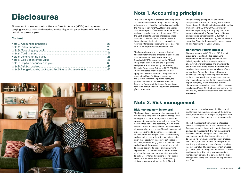# <span id="page-11-0"></span>**Disclosures**

All amounts in the notes are in millions of Swedish kronor (MSEK) and represent carrying amounts unless indicated otherwise. Figures in parentheses refer to the same period the previous year.



| Note 1. Accounting principles                                  |    |
|----------------------------------------------------------------|----|
| Note 2. Risk management                                        | 23 |
| Note 3. Operating segments                                     | 26 |
| Note 4. Credit losses                                          | 28 |
| Note 5. Lending to the public                                  | 28 |
| Note 6. Calculation of fair value                              | 31 |
| Note 7. Capital adequacy analysis                              | 36 |
| Note 8. Related parties                                        |    |
| Note 9. Pledged assets, contingent liabilities and commitments |    |

## Content

## Note 1. Accounting principles

This Year-end report is prepared according to IAS 34, Interim Financial Reporting. The accounting principles and calculation methods described in the Annual report for 2020, Note 1, are applied with the exception of accrued interest expenses on issued bonds. As of the Interim report 2021, the Bank presents accrued interest expenses on issued bonds as part of the debt value to harmonise with the lending and deposit items. Accrued interest expenses were earlier classified as accrued expenses and prepaid income.

The financial reports and the consolidated financial statements are prepared in accordance with the International Financial Reporting Standards (IFRS) as adopted by the EU and interpretations of them and the regulations and general advice issued by the Swedish Financial Supervisory Authority, FFFS 2008:25. The consolidated financial statements also apply recommendation RFR 1 Complementary Accounting Rules for Groups, issued by the Swedish Financial Reporting Board, the pronouncements of the Swedish Financial Reporting Board, and the Annual Accounts Act for Credit Institutions and Securities Companies (ÅRKL 1995:1559).

The accounting principles for the Parent company are prepared according to the Annual Accounts Act for Credit Institutions and Securities Companies (ÅRKL 1995:1559), and Swedish Financial Supervisory Authority regulations and general advice on the Annual Report of banks and securities companies (FFFS 2008:25) in accordance with all amended regulations, and the council of Financial Reporting Recommendation RFR 2, Accounting for Legal Entities.

## Benchmark reform phase 2

The amendments to IAS 39 and IFRS 9 entail exceptions to certain hedge accounting requirements when existing benchmark rates in hedging relationships are replaced with alternative benchmark rates. The amendments are thus considered to enable the transition to new benchmark rates without significant effects on earnings. As the Bank does not have any derivatives, lending or financing based on the replaced benchmark rates, there have been no significant effects on the Bank's financial reports, capital adequacy, major exposures or other circumstances according to applicable operating regulations. Phase 2 in the benchmark reform has not had any material impact on the Bank's financial statements.

## Note 2. Risk management

## Risk management in general

The Bank's risk management aims to ensure that risk-taking is consistent with set risk management strategies and risk appetite, and to achieve an appropriate balance between risk and return. The Bank defines risk as the possibility that an event may occur that adversely affects the achievement of an objective or a process. The risk management process, covering to identify, assess, manage, monitor, control and report risks, provides taking and managing risks while at the same time being given the opportunity to achieve set strategic, business, and operating goals. The risks are limited and mitigated through set risk appetite and risk tolerance, approved policies and instructions, implemented procedures and routines, as well as mitigating measures, which makes it possible to make well-informed decisions for risk-taking and to ensure awareness and understanding of risk management within the Bank. The risk

management covers backward-looking, actual, and forward-looking risks, on and off the balance sheet, that the Bank is, or might be, exposed to in the business, balance sheet, and the organisation.

The risk management framework is integrated into the overall governance and internal control frameworks, and is linked to the strategic planning and capital management. The risk management framework covers principles, risk culture, risk management strategies, risk appetite and risk tolerance, risk profile, risk management process, risk control, approval process for new products, sensitivity analysis/stress tests/scenario analysis, internal capital and liquidity assessment process ("ICLAAP"), risk reporting, and risk-related policies and instructions. The risk governance and risk management framework is governed in the Risk Management Policy and Instruction, approved by the Board.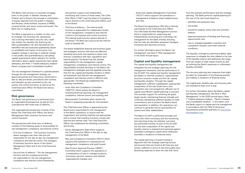The Bank's main activity is to provide mortgage loans to the public in Sweden, Norway and Finland, and to finance this through a combination of equity, deposits from the public in Sweden and Norway, credit facilities, issuance of RMBS, covered bonds, and senior unsecured bonds. The Bank has no trading book.

The Bank is exposed to a number of risks, such as strategic risk, business risk, operational risk (covering information security risk), credit risk, market risk, liquidity risk, financing risk, ESG (sustaibability) risk, and reputational risk. Identified risks are assessed qualitatively based on probability and impact of economic loss, negative change in earnings or material change in risk profile, and quantitatively by calculating capital requirements where relevant. For further information about capital requirement and capital adequacy, see Note 7 "Capital adequacy analysis - Parent company and Consolidated situation".

The risk management framework is operationalised through the risk management strategy, via approved policies and instructions, performed in day-to-day processes, procedures and routines, and followed-up and controlled by the risk owners, the control functions, as well as by the Chief Executive Officer the Board and various committees.

## Risk governance

The Bank's risk governance is performed from an organisational perspective, as well as from a perspective with three lines of defence.

The organisational perspective consists of the Board, the Chief Executive Officer, the Senior Management Team, business functions, and control functions.

The perspective with three lines of defence consists of the following areas of responsibility for risk management, compliance, and internal control:

- First line of defence The business functions, where managers own their risks and are responsible for the day-to-day risk management, compliance and internal control. The managers of business functions report to the Senior Management Team and to the Chief Executive Officer.
- Second line of defence The risk management function and the compliance function are responsible for the risk management, compliance and internal control frameworks,

and perform support and independent monitoring and control of these areas. The Chief Risk Officer ("CRO") and the Head of Compliance report directly to the Chief Executive Officer, and to the Board.

• Third line of defence - The internal audit function is responsible for independent review of risk management, compliance and internal control in the business and control functions. The internal audit function reports directly to the Board. The Bank has outsourced the internal audit to Deloitte AB.

> The capital and liquidity management are integrated into the strategic planning, the risk management framework, and the performance of the ICLAAP. The capital and liquidity management are based on internal conditions, organisational structure, business model, and the risk, capital and liquidity situation. Through the capital management, sufficient capitalisation, appropriate composition of the own funds from a loss absorption and cost perspective, efficient use of capital, and efficient capital planning, is ensured. This provides support for achieving set goals, target results, maintaining financial strength and continuity, maintaining sufficient liquidity to meet commitments, and to protect the Bank's brand and reputation. In addition, the operations can continue to generate returns and benefits for owners and other stakeholders.

The Board establishes financial and business goals and strategies, ensures that there are effective operating structures and systems in place, and ensures compliance with laws, regulations and internal policies. The Board has the ultimate responsibility for risk management, capital management, compliance, and internal control. The responsibility includes deciding on the Bank's risk management strategies and risk appetite, ensuring that the risk, capital and liquidity situation is within set framework, and that the risk management, compliance and internal control is effective and appropriate. The Board has established the following committees:

- Audit, Risk and Compliance Committee ("ARCCO") which assists the Board in reviewing financial reporting, risk management, compliance, internal control, and auditing, and
- Remuneration Committee which assists the Board in preparing proposals for remuneration.

The Chief Executive Officer is appointed by the Board and is responsible for the management of the Bank's operations, to ensure that the organisation and working methods are appropriate, and to ensure that business functions comply with external and internal rules. The Chief Executive Officer has established the following committees and forums:

- Senior Management Team which supports the Chief Executive Officer in the day-to-day management of the Bank,
- Risk and Compliance Committee ("RiCO") which supports the operations in operational risk management, compliance, and audit issued,
- New Product Approval Process ("NPAP") Committee which supports the operations in considerations of new or changed products, processes, services, systems, and material organisational changes, and

• Asset and Liability Management Committee ("ALCO") which supports the operations in management of balance sheet-related issues and risks.

The Board has appointed a CRO who is directly subordinate to the Chief Executive Officer. The CRO leads the Risk Management function, which is responsible for supporting and independently monitoring and controlling, risk management for the Bank, thereby ensuring that the risks are identified, assessed, managed, monitored and reported correctly.

For further information about the Bank's risk management, see Note 2 "Risk management" in the 2020 Annual report.

## Capital and liquidity management

The Bank's ICLAAP is performed annually, and more often when necessary, and the monitoring and reporting of key risk indicator outcomes are performed monthly. As part of the ICLAAP, the size and composition of the capital and liquidity reserve is analysed and assessed against estimated contingency needs which addresses shortfalls in situations of financial stress.

The capital planning is forward-looking in alignment with the strategic planning horizon, and ensures that own funds at all times are, and remain, sufficient in terms of size and quality (loss absorbing capacity) to bear the risks that result

from the business performance and the strategic planning. The Bank performs capital planning for the size of the own funds based on;

- identified and assessed risks,
- risk profile,
- sensitivity analysis, stress tests and scenario analysis,
- expected expansion of lending and financing opportunities, and
- new or changed legislation, business and competitive situation, and other external conditions.

The liquidity contingency planning enables rapid responses to mitigate the risks related to the size of the liquidity reserve and addresses the range from low-impact to high-impact events as well as outlining the Bank's responses to unforeseen liquidity shortfalls.

The recovery planning sets measures that might be taken for restoration of the financial position and viability in situations of financial stress.

The capital plan, liquidity plan, and recovery plan are reviewed at least once a year.

For further information about the Bank's capital and liquidity management, see Note 2 "Risk Management" in the 2020 annual report, Note 7 "Capital adequacy analysis – Parent company and consolidated situation" in this report, and the Bank's report on capital and risk management in accordance with the Pillar III disclosure requirements published quarterly on [http://www.](http://www.bluestepbank.com) [bluestepbank.com](http://www.bluestepbank.com).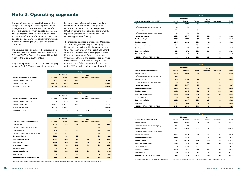## <span id="page-13-0"></span>Note 3. Operating segments

The operating segment report is based on the Group's accounting principles, organisation and management accounts. Market-based transfer prices are applied between operating segments, while all expenses for IT, other Group functions and Group staff are transfer priced at cost to the operating segments. Cross-border transfer pricing is applied according to OECD transfer pricing guidelines.

The executive decision maker in the organisation is the Chief Executive Officer. The Chief Commercial Officers ("CCO") in Sweden, Norway and Finland all report to the Chief Executive Officer.

They are responsible for their respective mortgage segment. Each CCO governs their operations

based on clearly stated objectives regarding development of new lending, loan portfolio, income and expenses, and their respective KPIs. Furthermore, the operations strive towards improved quality and cost-effectiveness by increasing process efficiency.

The mortgage business is divided into Mortgages Sweden, Mortgages Norway and Mortgages Finland. All companies within the Group relating to mortgages in Sweden (the Parent, BFF1, BSAB and Step 4) are included in Mortgages Sweden. Mortgages Norway and Finland are operated through each Branch. The personal loan portfolio, which was sold on the 1st of January 2021, is reported under Other operations. The income during 2021 is related to the sale of the portfolio.

|                                        | Group         |                  |                |                          |                          |              |  |  |  |
|----------------------------------------|---------------|------------------|----------------|--------------------------|--------------------------|--------------|--|--|--|
|                                        |               | <b>Mortgages</b> |                | Other                    |                          |              |  |  |  |
| <b>Balance sheet 2021-12-31 (MSEK)</b> | <b>Sweden</b> | <b>Norway</b>    | <b>Finland</b> | operations               | <b>Eliminations</b>      | <b>Total</b> |  |  |  |
| Lending to credit institutions         | 696.3         | 426.9            | 23.6           | -                        | $\overline{\phantom{0}}$ | 1 1 46.7     |  |  |  |
| Lending to the public                  | 10 483.8      | 7629.8           | 219.4          | $\overline{\phantom{0}}$ | $\overline{\phantom{a}}$ | 18 3 3 3 1   |  |  |  |
| Deposits from the public               | 4 0 9 1 .4    | 6334.6           | $-$            | $\overline{\phantom{0}}$ | $\overline{\phantom{0}}$ | 10 4 26.0    |  |  |  |

|                                        |             | Group            |                |            |                          |          |  |  |  |
|----------------------------------------|-------------|------------------|----------------|------------|--------------------------|----------|--|--|--|
|                                        |             | <b>Mortgages</b> |                | Other      |                          |          |  |  |  |
| <b>Balance sheet 2020-12-31 (MSEK)</b> | Sweden      | Norway           | <b>Finland</b> | operations | <b>Eliminations</b>      | Total    |  |  |  |
| Lending to credit institutions         | 505.8       | 1 3 6 2 5        | 9.1            | -          | ۰.                       | 1877.4   |  |  |  |
| Lending to the public                  | 9 4 1 6 . 1 | 6651.7           | 47.7           | -          | $\overline{\phantom{0}}$ | 16 115.5 |  |  |  |
| Deposits from the public               | 4589.3      | 8023.7           | -              | -          | $\overline{\phantom{a}}$ | 12612.9  |  |  |  |
| Assets held for sale                   | -           | -                | -              | 714.6      | $\overline{\phantom{0}}$ | 714.6    |  |  |  |

|                                        | Group         |                   |                |                          |                          |                   |  |
|----------------------------------------|---------------|-------------------|----------------|--------------------------|--------------------------|-------------------|--|
|                                        |               | <b>Mortgages</b>  |                | <b>Other</b>             |                          |                   |  |
| Income statement H2 2021 (MSEK)        | <b>Sweden</b> | <b>Norway</b>     | <b>Finland</b> | operations               | <b>Eliminations</b>      | <b>Total</b>      |  |
| Interest income                        | 285.5         | 267.3             | 5.4            | $\overline{\phantom{0}}$ | $-11.9$                  | 546.2             |  |
| of which interest income within group  | 11.9          | $\qquad \qquad -$ | $\overline{a}$ | $\qquad \qquad -$        | $-11.9$                  |                   |  |
| Interest expense                       | $-73.4$       | $-62.9$           | $-0.9$         | $\overline{\phantom{a}}$ | 11.9                     | $-125.2$          |  |
| of which interest expense within group | $-7.9$        | $-3.3$            | $-0.8$         | $\qquad \qquad -$        | 11.9                     | $\qquad \qquad -$ |  |
| Net interest income                    | 212.1         | 204.4             | 4.5            | -                        | $-0.0$                   | 421.0             |  |
| <b>Total operating income</b>          | 230.7         | 204.6             | 4.5            | $-7.6$                   | $-8.8$                   | 423.4             |  |
| <b>Total expenses</b>                  | $-151.4$      | $-110.4$          | $-23.6$        | 3.6                      | 8.8                      | $-273.0$          |  |
| <b>Result pre credit losses</b>        | 79.3          | 94.2              | $-19.1$        | $-4.0$                   | $-0.0$                   | 150.4             |  |
| Credit losses, net                     | $-3.0$        | $-4.1$            | $-0.4$         | 0.7                      | $\overline{\phantom{0}}$ | $-6.7$            |  |
| <b>Operating profit/loss</b>           | 76.3          | 90.2              | $-19.5$        | $-3.3$                   | $-0.0$                   | 143.7             |  |
| Allocated tax*                         | $-5.6$        | $-21.1$           | $-0.1$         |                          | $-0.0$                   | $-26.8$           |  |
| <b>NET PROFIT/LOSS FOR THE PERIOD</b>  | 70.7          | 69.1              | $-19.6$        | $-3.3$                   | $-0.0$                   | 116.9             |  |

*\* Allocated tax is used for the allocation of tax to the various operating segments and is not a measure that is directly regulated in IFRS.*

|                                        | <b>Group</b> |                  |                |            |                     |          |  |
|----------------------------------------|--------------|------------------|----------------|------------|---------------------|----------|--|
|                                        |              | <b>Mortgages</b> |                | Other      |                     |          |  |
| Income statement H2 2020 (MSEK)        | Sweden       | Norway           | <b>Finland</b> | operations | <b>Eliminations</b> | Total    |  |
| Interest income                        | 277.0        | 267.8            | 0.6            | 37.5       | $-9.0$              | 574.0    |  |
| of which interest income within group  | 8.8          | 0.2              |                | -          | $-9.0$              |          |  |
| Interest expense                       | $-72.0$      | $-108.1$         | $-0.1$         | $-6.5$     | 9.0                 | $-177.8$ |  |
| of which interest expense within group | $-8.6$       | $-0.2$           | $-0.1$         | -          | 9.0                 |          |  |
| Net interest income                    | 205.0        | 159.7            | 0.5            | 31.0       | 0.0                 | 396.2    |  |
| <b>Total operating income</b>          | 218.9        | 167.2            | 0.5            | 29.6       | $-9.7$              | 406.5    |  |
| <b>Total expenses</b>                  | $-154.5$     | $-121.1$         | $-20.6$        | -8.6       | 9.7                 | $-295.2$ |  |
| <b>Result pre credit losses</b>        | 64.4         | 46.1             | $-20.2$        | 21.0       | $-0.0$              | 111.4    |  |
| Credit losses, net                     | $-2.8$       | $-9.0$           | $-0.1$         | 15.5       | -                   | 3.6      |  |
| <b>Operating profit/loss</b>           | 61.6         | 37.1             | $-20.3$        | 36.5       | $-0.0$              | 115.0    |  |
| Allocated tax*                         | $-16.8$      | $-14.0$          | 1.4            | $-4.2$     | 0.0                 | $-33.7$  |  |
| <b>NET PROFIT/LOSS FOR THE PERIOD</b>  | 44.8         | 23.1             | $-18.9$        | 32.3       | $-0.0$              | 81.3     |  |

|                                        | Group         |                  |                          |                   |                              |          |  |
|----------------------------------------|---------------|------------------|--------------------------|-------------------|------------------------------|----------|--|
|                                        |               | <b>Mortgages</b> |                          | <b>Other</b>      |                              |          |  |
| Income statement 2021 (MSEK)           | <b>Sweden</b> | <b>Norway</b>    | <b>Finland</b>           | operations        | <b>Eliminations</b>          | Total    |  |
| Interest income                        | 566.4         | 534.0            | 7.9                      |                   | $-20.5$                      | 1087.8   |  |
| of which interest income within group  | 20.5          | $\overline{a}$   | $\overline{\phantom{0}}$ | $\qquad \qquad -$ | $-20.5$                      |          |  |
| Interest expense                       | $-145.9$      | $-128.3$         | $-1.4$                   | -                 | 20.5                         | $-255.2$ |  |
| of which interest expense within group | $-15.9$       | $-3.4$           | $-1.2$                   | $\qquad \qquad -$ | 20.5                         |          |  |
| Net interest income                    | 420.5         | 405.7            | 6.5                      | -                 | 0.0                          | 832.7    |  |
| <b>Total operating income</b>          | 457.9         | 410.1            | 6.5                      | 10.3              | $-19.9$                      | 864.8    |  |
| <b>Total expenses</b>                  | $-297.1$      | $-215.4$         | $-40.1$                  | 0.0               | 19.9                         | $-532.8$ |  |
| <b>Result pre credit losses</b>        | 160.8         | 194.6            | $-33.6$                  | 10.3              | $-0.0$                       | 332.1    |  |
| Credit losses, net                     | $-0.6$        | $-5.9$           | $-0.3$                   | $-0.0$            |                              | $-6.9$   |  |
| <b>Operating profit/loss</b>           | 160.2         | 188.7            | $-33.9$                  | 10.2              | $-0.0$                       | 325.2    |  |
| Allocated tax*                         | $-19.7$       | $-45.8$          | $-0.0$                   | $-3.3$            | $\qquad \qquad \blacksquare$ | $-68.9$  |  |
| <b>NET PROFIT/LOSS FOR THE YEAR</b>    | 140.4         | 143.0            | $-34.0$                  | 6.9               | $-0.0$                       | 256.3    |  |

|                                        | Group    |                  |                          |                          |                     |             |
|----------------------------------------|----------|------------------|--------------------------|--------------------------|---------------------|-------------|
|                                        |          | <b>Mortgages</b> |                          | Other                    |                     |             |
| Income statement 2020 (MSEK)           | Sweden   | Norway           | <b>Finland</b>           | operations               | <b>Eliminations</b> | Total       |
| Interest income                        | 565.5    | 539.8            | 0.6                      | 88.8                     | $-26.3$             | 1 1 6 8 . 3 |
| of which interest income within group  | 26.1     | O.3              | $\overline{\phantom{a}}$ | $\overline{\phantom{a}}$ | $-26.3$             |             |
| Interest expense                       | $-169.8$ | $-196.5$         | $-0.2$                   | $-15.4$                  | 22.6                | $-359.4$    |
| of which interest expense within group | $-21.2$  | $-1.1$           | $-0.2$                   | $\overline{\phantom{a}}$ | 22.6                |             |
| Net interest income                    | 395.7    | 343.2            | 0.3                      | 73.4                     | $-3.8$              | 808.9       |
| <b>Total operating income</b>          | 443.5    | 356.4            | 0.3                      | 71.1                     | $-35.0$             | 836.3       |
| <b>Total expenses</b>                  | $-326.7$ | $-233.9$         | $-32.0$                  | $-23.0$                  | 34.9                | -580.7      |
| <b>Result pre credit losses</b>        | 116.8    | 122.5            | $-31.7$                  | 48.0                     | $-0.0$              | 255.6       |
| Credit losses, net                     | $-10.6$  | $-16.0$          | $-0.1$                   | $-13.4$                  |                     | $-40.1$     |
| <b>Operating profit/loss</b>           | 106.2    | 106.5            | $-31.8$                  | 34.6                     | $-0.0$              | 215.5       |
| Allocated tax*                         | $-23.0$  | $-31.5$          | 1.4                      | $-8.1$                   | 0.0                 | $-61.1$     |
| <b>NET PROFIT/LOSS FOR THE YEAR</b>    | 83.2     | 75.0             | $-30.4$                  | 26.6                     | -0.0                | 154.4       |

*\* Allocated tax is used for the allocation of tax to the various operating segments and is not a measure that is directly regulated in IFRS.*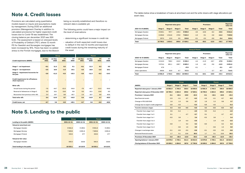## <span id="page-14-0"></span>Note 4. Credit losses

Provisions are calculated using quantitative models based on inputs and assumptions made by management. During 2020 an additional provision (Management Overlay in addition to calculated provisions) for higher expected credit losses due to Covid-19 was established. The closing balance per december 2021 was SEK 5.4m. The assessment is based on stressed levels of Probability of Default ("PD"), where 12 month PD for Swedish and Norwegian mortgages has been increased by 15%. There has been no added stress to the Finnish mortgages, due to the Branch

being so recently established and therefore no relevant data is available yet.

The following points could have a major impact on the level of reservations:

- determining a significant increase in credit risk
- valuation of both expected credit losses due to default in the next 12 months and expected credit losses during the remaining maturity of the asset

|                                                              |                 | Group                    |                              |                   |                 |                 | <b>Parent</b>     |                   |
|--------------------------------------------------------------|-----------------|--------------------------|------------------------------|-------------------|-----------------|-----------------|-------------------|-------------------|
| <b>Credit impairments (MSEK)</b>                             | Jul-Dec<br>2021 | Jul-Dec<br>2020          | <b>FY</b><br>2021            | <b>FY</b><br>2020 | Jul-Dec<br>2021 | Jul-Dec<br>2020 | <b>FY</b><br>2021 | <b>FY</b><br>2020 |
|                                                              |                 |                          |                              |                   |                 |                 |                   |                   |
| Stage 1 - net impairment                                     | $-0.1$          | 11.2                     | 0.3                          | 9.1               | $-0.1$          | 11.2            | 0.3               | 9.0               |
| Stage 2 - net impairment                                     | $-3.5$          | 18.5                     | $-1.6$                       | 10.1              | $-3.5$          | 18.5            | $-1.6$            | 10.1              |
| Stage 3 - impairment/recovories for<br>the year              | $-3.6$          | $-11,3$                  | $-6.3$                       | $-15.3$           | $-3.6$          | $-11.3$         | $-6.3$            | $-14.3$           |
| <b>Credit impairments for off balance</b><br>sheet exposures |                 | $\overline{\phantom{a}}$ | $\qquad \qquad \blacksquare$ |                   |                 | -               |                   |                   |
| Write-offs                                                   |                 |                          |                              |                   |                 |                 |                   |                   |
| Actual losses during the period                              | $-7.5$          | $-44.7$                  | $-21.5$                      | $-94.6$           | $-7.5$          | $-44.7$         | $-21.5$           | $-94.6$           |
| Reversal of allowances in Stage 3                            | 5.5             | 10,1                     | 13.6                         | 9.9               | 5.5             | 10,1            | 13.6              | 8.5               |
| Recoveries from previous write-offs                          | 2.4             | 19.7                     | 8.6                          | 40.7              | 2.4             | 19.7            | 8.6               | 40.6              |
| <b>Total write-offs</b>                                      | 0.4             | $-14.9$                  | 0.7                          | $-44.0$           | 0.4             | $-14.9$         | 0.7               | $-45.5$           |
| <b>Credit losses, net</b>                                    | $-6.7$          | 3.6                      | $-6.9$                       | $-40.1$           | $-6.7$          | 3.6             | $-6.9$            | $-40.6$           |

## Note 5. Lending to the public

|                                          | Group            |            | <b>Parent</b> |             |  |
|------------------------------------------|------------------|------------|---------------|-------------|--|
| Lending to the public (MSEK)             | $2021 - 12 - 31$ | 2020-12-31 | 2021-12-31    | 2020-12-31  |  |
| Valued at amortised cost                 |                  |            |               |             |  |
| Mortgages Sweden                         | 9941.6           | 9 1 9 9 3  | 9941.6        | 9 1 9 9 . 3 |  |
| Mortgages Norway                         | 7629.8           | 6651.8     | 7629.8        | 6651.8      |  |
| <b>Mortgages Finland</b>                 | 219.4            | 47.7       | 219.4         | 47.7        |  |
| Valued at fair value<br>Mortgages Sweden | 542.3            | 216.8      | 542.3         | 216.8       |  |
| Total lending to the public              | 18 3 3 3 1       | 16 115.5   | 18 333.1      | 16 115.5    |  |

The tables below show a breakdown of loans at amortised cost and the write-downs with stage allocations per asset class.

|                          |          | <b>Group &amp; Parent</b>   |         |              |         |                   |         |              |              |  |
|--------------------------|----------|-----------------------------|---------|--------------|---------|-------------------|---------|--------------|--------------|--|
|                          |          | <b>Reported value gross</b> |         |              |         | <b>Provisions</b> |         |              |              |  |
| 2021-12-31 (MSEK)        | Stage 1  | Stage 2                     | Stage 3 | <b>Total</b> | Stage 1 | Stage 2           | Stage 3 | <b>Total</b> | <b>Total</b> |  |
| Mortgages Sweden         | 9039.1   | 797.7                       | 128.3   | 9965.0       | $-4.5$  | $-10.8$           | $-8.2$  | $-23.5$      | 9941.6       |  |
| Mortgages Norway         | 6458.8   | 1014.6                      | 170.9   | 7644.2       | $-1.5$  | $-9.1$            | $-3.8$  | $-14.4$      | 7629.8       |  |
| <b>Mortgages Finland</b> | 207.3    | 12.0                        | 0.5     | 219.8        | $-0.1$  | $-0.3$            | $-0.0$  | $-0.4$       | 219.4        |  |
| Total                    | 15 705.2 | 1824.3                      | 299.6   | 17829.1      | $-6.0$  | $-20.3$           | $-12.0$ | $-38.3$      | 17 790.8     |  |

|                   |                             |         |         |                   | <b>Group &amp; Parent</b> |         |         |                       |             |
|-------------------|-----------------------------|---------|---------|-------------------|---------------------------|---------|---------|-----------------------|-------------|
|                   | <b>Reported value gross</b> |         |         | <b>Provisions</b> |                           |         |         | Reported<br>value net |             |
| 2020-12-31 (MSEK) | Stage 1                     | Stage 2 | Stage 3 | Total             | Stage 1                   | Stage 2 | Stage 3 | Total                 | Total       |
| Mortgages Sweden  | 8 3 1 3 .0                  | 789.2   | 124.0   | 9 2 2 6 . 3       | $-4.4$                    | $-11.9$ | $-10.7$ | $-27.0$               | 9 1 9 9 . 3 |
| Mortgages Norway  | 5 5 7 4.4                   | 891.1   | 199.7   | 6665.2            | $-1.6$                    | $-6.2$  | $-5.6$  | $-13.5$               | 6651.8      |
| Mortgages Finland | 47.8                        | -       | Ξ.      | 47.8              | $-0.1$                    | -       | -       | $-0.1$                | 47.7        |
| Other operations  | 646.6                       | 63.9    | 6.7     | 717.2             | $\overline{a}$            | -       | $-2.7$  | $-2.7$                | 714.5       |
| Total             | 14 5 8 1.9                  | 1744.2  | 330.4   | 16 656.5          | -6.1                      | $-18.1$ | $-19.0$ | $-43.3$               | 16 613.3    |

|                                         |                              | Group                    |                          |              |                              | <b>Parent</b>            |                          |              |
|-----------------------------------------|------------------------------|--------------------------|--------------------------|--------------|------------------------------|--------------------------|--------------------------|--------------|
| (MSEK)                                  | Stage 1                      | <b>Stage 2</b>           | Stage 3                  | <b>Total</b> | Stage 1                      | Stage 2                  | Stage 3                  | <b>Total</b> |
| Reported value gross 1 January 2021     | 14581.9                      | 1 744.2                  | 330.4                    | 16 656.5     | 14581.9                      | 1 744.2                  | 330.4                    | 16 656.5     |
| Reported value gross 31 December 2021   | 15 705.2                     | 1824.3                   | 299.6                    | 17829.1      | 15 705.2                     | 1824.3                   | 299.6                    | 17829.1      |
| <b>Provisions 1 January 2021</b>        | $-6.1$                       | $-18.1$                  | $-19.0$                  | $-43.3$      | $-6.1$                       | $-18.1$                  | $-19.0$                  | $-43.3$      |
| New financial assets                    | $-2.5$                       | $-3.1$                   | $-0.7$                   | $-6.2$       | $-2.5$                       | $-3.1$                   | $-0.7$                   | $-6.2$       |
| Change in PD/LGD/EAD                    | 1.6                          | 1.3                      | 0.8                      | 3.7          | 1.6                          | 1.3                      | 0.8                      | 3.7          |
| Change due to expert credit judgement   | $-0.9$                       | $-4.5$                   | $\overline{\phantom{a}}$ | $-5.4$       | $-0.9$                       | $-4.5$                   | $\overline{\phantom{a}}$ | $-5.4$       |
| <b>Transfers between stages</b>         | 0.3                          | $-0.5$                   | $-6.5$                   | $-6.6$       | 0.3                          | $-0.5$                   | $-6.5$                   | $-6.6$       |
| -Transfer from stage 1 to 2             | 0.5                          | $-5.4$                   | $\qquad \qquad =$        | $-4.9$       | 0.5                          | $-5.4$                   | $\qquad \qquad -$        | $-4.9$       |
| -Transfer from stage 1 to 3             | 0.1                          | $\overline{\phantom{a}}$ | $-3.7$                   | $-3.7$       | 0.1                          | $\overline{\phantom{a}}$ | $-3.7$                   | $-3.7$       |
| -Transfer from stage 2 to 1             | $-0.3$                       | 3.6                      | $\overline{\phantom{a}}$ | 3.4          | $-0.3$                       | 3.6                      | $\overline{\phantom{a}}$ | 3.4          |
| -Transfer from stage 2 to 3             | $\qquad \qquad =$            | 1.9                      | $-4.4$                   | $-2.6$       | $\overline{\phantom{a}}$     | 1.9                      | $-4.4$                   | $-2.6$       |
| -Transfer from stage 3 to 1             | $-0.0$                       | $\overline{\phantom{a}}$ | 0.2                      | 0.2          | $-0.0$                       | $\overline{\phantom{a}}$ | 0.2                      | 0.2          |
| -Transfer from stage 3 to 2             | $\qquad \qquad \blacksquare$ | $-0.6$                   | 1.5                      | 0.9          | $\qquad \qquad \blacksquare$ | $-0.6$                   | 1.5                      | 0.9          |
| Changes in exchange rates               | $-0.1$                       | $-0.5$                   | $-0.3$                   | $-0.8$       | $-0.1$                       | $-0.5$                   | $-0.3$                   | $-0.8$       |
| <b>Removed financial assets</b>         | 1.7                          | 5.1                      | 13.6                     | 20.3         | 1.7                          | 5.1                      | 13.6                     | 20.3         |
| <b>Provisions 31 December 2021</b>      | $-6.0$                       | $-20.3$                  | $-12.0$                  | $-38.3$      | $-6.0$                       | $-20.3$                  | $-12.0$                  | $-38.3$      |
| <b>Opening balance 1 January 2021</b>   | 14 575.8                     | 1726.1                   | 311.4                    | 16 613.3     | 14575.8                      | 1726.1                   | 311.4                    | 16 613.3     |
| <b>Closing balance 31 December 2021</b> | 15 699.2                     | 1804.0                   | 287.6                    | 17 790.8     | 15 699.2                     | 1804.0                   | 287.6                    | 17 790.8     |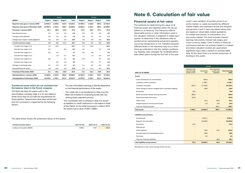<span id="page-15-0"></span>

|                                         |                   | Group                    |                          |          | <b>Parent</b>            |                          |                          |          |
|-----------------------------------------|-------------------|--------------------------|--------------------------|----------|--------------------------|--------------------------|--------------------------|----------|
| (MSEK)                                  | Stage 1           | Stage 2                  | Stage 3                  | Total    | Stage 1                  | Stage 2                  | Stage 3                  | Total    |
| Reported value gross 1 January 2020     | 14 504.3          | 1.339.0                  | 312.8                    | 16 156.1 | 12 309.2                 | 1 1 6 3 .5               | 288.4                    | 13 761.0 |
| Reported value gross 31 December 2020   | 14 581.9          | 1 744.2                  | 330.4                    | 16 656.5 | 14581.9                  | 1 744.2                  | 330.4                    | 16 656.5 |
| <b>Provisions 1 January 2020</b>        | $-15.3$           | $-28.6$                  | $-14.0$                  | $-57.8$  | $-14.3$                  | $-25.4$                  | $-12.1$                  | $-51.9$  |
| <b>New financial assets</b>             | $-2.3$            | $-1.8$                   | $-1.6$                   | $-5.6$   | $-2.8$                   | $-3.5$                   | $-3.4$                   | $-9.7$   |
| Change in PD/LGD/EAD                    | 0.9               | 0.3                      | 0.2                      | 1.4      | 0.8                      | 0.1                      | 0.2                      | 1.1      |
| Change due to expert credit judgement   | 4.8               | 8.9                      | $-2.8$                   | 10.9     | 4.8                      | 8.9                      | $-2.8$                   | 10.9     |
| <b>Transfers between stages</b>         | 0.9               | $-9.6$                   | $-11.1$                  | $-19.7$  | 0.9                      | $-9.7$                   | $-9.8$                   | $-18.6$  |
| -Transfer from stage 1 to 2             | 1.2               | $-16.0$                  | $\qquad \qquad -$        | $-14.7$  | 1.2                      | $-15.3$                  | $\overline{\phantom{a}}$ | $-14.1$  |
| -Transfer from stage 1 to 3             | 0.2               | $\overline{\phantom{a}}$ | $-8.5$                   | $-8.3$   | 0.2                      | $\qquad \qquad -$        | $-7.5$                   | $-7.4$   |
| -Transfer from stage 2 to 1             | $-0.5$            | 5.3                      | $\overline{\phantom{a}}$ | 4.7      | $-0.5$                   | 4.6                      | $\overline{a}$           | 4.1      |
| -Transfer from stage 2 to 3             | $\qquad \qquad -$ | 1.6                      | $-3.7$                   | $-2.1$   | ۰                        | 1.3                      | $-3.0$                   | $-1.7$   |
| -Transfer from stage 3 to 1             | $-0.0$            | $\overline{\phantom{a}}$ | 0.1                      | 0.1      | $-0.0$                   | $\overline{\phantom{a}}$ | 0.1                      | 0.1      |
| -Transfer from stage 3 to 2             | $\qquad \qquad$   | $-0.4$                   | 1.0                      | 0.6      | $\overline{\phantom{a}}$ | $-0.3$                   | 0.7                      | 0.4      |
| Changes in exchange rates               | 0.1               | 0.3                      | 0.3                      | 0.7      | 0.1                      | 0.3                      | 0.3                      | 0.7      |
| Removed financial assets                | 4.8               | 12.3                     | 9.9                      | 27.0     | 4.5                      | 11.2                     | 8.5                      | 24.3     |
| <b>Provisions 31 December 2020</b>      | $-6.1$            | $-18.1$                  | $-19.0$                  | $-43.3$  | $-6.1$                   | $-18.1$                  | $-19.0$                  | $-43.3$  |
| <b>Opening balance 1 January 2020</b>   | 14 489.0          | 1 3 1 0 .5               | 298.8                    | 16 098.3 | 12 294.8                 | 1 1 3 8 . 1              | 276.3                    | 13 709.2 |
| <b>Closing balance 31 December 2020</b> | 14575.8           | 1726.1                   | 311.4                    | 16 613.3 | 14575.8                  | 1726.1                   | 311.4                    | 16 613.3 |

### Transferred assets which are not excluded from the balance sheet in the Parent company:

The Bank has kept the assets sold to the securitisation company, Step 4, in its own balance sheet since they do not fulfil the requirements for derecognition. Several tests have been performed and the conclusion is supported by the following factors:

- The size of the Bank's earnings is directly dependent on the financial performance of the assets
- The credit risk is not transferred to Step 4 as the Bank has invested in underlying bonds with low ranking (lower payment priority)

The counterpart item to lending in Step 4 is shown as liabilities to credit institutions in the balance sheet of the Parent. At the initial transaction in March 2017, the assets had a value of SEK 2 986m.

The table below shows the presented values of the assets:

| <b>Transferred assets Step 4</b> | 2017-03-09 | 2020-12-31  | 2021-12-31 |
|----------------------------------|------------|-------------|------------|
| Lending to the public (MSEK)     | 2986.1     | 1 1 1 8 . 7 | 862.8      |

## Note 6. Calculation of fair value

## Financial assets at fair value

The methods for determining the value of all financial assets and liabilities within the Group adhere to a hierarchy. This hierarchy reflects observable prices or other information used in the valuation methods. A judgment is made each quarter to determine if the valuations refer to quoted prices representing actual and regularly occurring transactions or not. Transfers between different levels in the hierarchy may occur when there are indications that the market conditions, e.g. liquidity, have changed. No reclassifications have taken place during the first half of the year.

Level 1 uses valuation of quoted prices in an active market, i.e. easily accessible by different market makers and represent actual and frequent transactions. Level 2 uses calculated values that are based on observable market quotations for similar instruments, or instruments on a less active market. This level includes interest bearing instruments, interest rate swaps, and cross-currency swaps. Level 3 refers to financial instruments that are not actively traded in a market and where valuation models are used where significant input data is based on unobservable data. At this level there is a certain proportion of lending to the public.

| 2021-12-31 (MSEK)                                          |
|------------------------------------------------------------|
| Assets                                                     |
| Cash and balances at central banks                         |
| Lending to credit institutions                             |
| Lending to the public                                      |
| Value change of interest-hedged items in portfolio hedging |
| <b>Derivatives</b>                                         |
| Bonds and other interest-bearing securities                |
| Government debt instruments                                |
| Other assets                                               |
| Prepaid expenses and accrued income                        |
| Total non-financial assets                                 |
| <b>Total assets</b>                                        |
|                                                            |
| <b>Liabilities and provisions</b>                          |
| <b>Issued bonds</b>                                        |
| Deposits from the public                                   |
| <b>Derivatives</b>                                         |
| Deferred tax                                               |
| Other liabilities                                          |
| Accrued expenses and prepaid income                        |
| Provisions                                                 |
| Total non-financial liabilities                            |

|                                                            |                                                                |                   | Group                                             |                              |
|------------------------------------------------------------|----------------------------------------------------------------|-------------------|---------------------------------------------------|------------------------------|
| 2021-12-31 (MSEK)                                          | Valued at fair<br>value through<br>profit or loss <sup>1</sup> | Amortised<br>cost | Non-financial<br>assets and<br><b>liabilities</b> | <b>Sum Carrying</b><br>value |
| Assets                                                     |                                                                |                   |                                                   |                              |
| Cash and balances at central banks                         |                                                                | 356.4             |                                                   | 356.4                        |
| Lending to credit institutions                             |                                                                | 1 1 4 6 7         |                                                   | 1 1 4 6 .7                   |
| Lending to the public                                      | 542.3                                                          | 17 790.8          |                                                   | 18 333.1                     |
| Value change of interest-hedged items in portfolio hedging |                                                                | $-46.6$           |                                                   | $-46.6$                      |
| <b>Derivatives</b>                                         | 76.0                                                           |                   |                                                   | 76.0                         |
| Bonds and other interest-bearing securities                | 493.0                                                          |                   |                                                   | 493.0                        |
| Government debt instruments                                | 337.9                                                          |                   | $\overline{\phantom{0}}$                          | 337.9                        |
| Other assets                                               |                                                                | 11.6              | 50.5                                              | 62.1                         |
| Prepaid expenses and accrued income                        |                                                                | 5.0               | 17.9                                              | 23.0                         |
| <b>Total non-financial assets</b>                          |                                                                |                   | 220.7                                             | 220.7                        |
| Total assets                                               | 1 4 4 9 .1                                                     | 19 263.9          | 289.1                                             | 21 002.2                     |
| <b>Liabilities and provisions</b>                          |                                                                |                   |                                                   |                              |
| <b>Issued bonds</b>                                        |                                                                | 8 5 2 1.1         |                                                   | 8521.1                       |
| Deposits from the public                                   | $\overline{\phantom{0}}$                                       | 10 4 26.0         |                                                   | 10 4 26.0                    |
| <b>Derivatives</b>                                         | 31.4                                                           |                   |                                                   | 31.4                         |
| Deferred tax                                               |                                                                | $\qquad \qquad$   | $\qquad \qquad$                                   |                              |
| <b>Other liabilities</b>                                   |                                                                | 88.6              | 14.3                                              | 102.9                        |
| Accrued expenses and prepaid income                        |                                                                | 59.6              |                                                   | 59.6                         |
| Provisions                                                 |                                                                | 2.8               |                                                   | 2.8                          |
| <b>Total non-financial liabilities</b>                     |                                                                |                   | 49.3                                              | 49.3                         |
| <b>Total liabilities and provisions</b>                    | 31.4                                                           | 19 098.2          | 63.6                                              | 19 193.2                     |

*1 Mandatorily at fair value through profit and loss*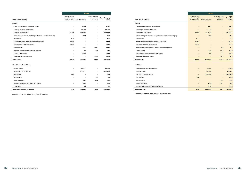|                                                            |                                 | Group                                      |                          |                              |  |  |  |  |
|------------------------------------------------------------|---------------------------------|--------------------------------------------|--------------------------|------------------------------|--|--|--|--|
| 2020-12-31 (MSEK)                                          | Valued at fair<br>value through | profit or loss <sup>1</sup> Amortised cost |                          | <b>Sum Carrying</b><br>value |  |  |  |  |
| <b>Assets</b>                                              |                                 |                                            |                          |                              |  |  |  |  |
| Cash and balances at central banks                         | ۰                               | 402.3                                      | ۰                        | 402.3                        |  |  |  |  |
| Lending to credit institutions                             | $\overline{\phantom{a}}$        | 1877.4                                     | ۳                        | 1877.4                       |  |  |  |  |
| Lending to the public                                      | 216.8                           | 15898.7                                    | $\overline{\phantom{a}}$ | 16 115.5                     |  |  |  |  |
| Value change of interest-hedged items in portfolio hedging | $\blacksquare$                  | 47.1                                       |                          | 47.1                         |  |  |  |  |
| <b>Derivatives</b>                                         | 41.2                            |                                            |                          | 41.2                         |  |  |  |  |
| Bonds and other interest-bearing securities                | 482.4                           | $\overline{\phantom{0}}$                   | $\overline{\phantom{0}}$ | 482.4                        |  |  |  |  |
| Government debt instruments                                | 238.2                           | ۰                                          | ۰                        | 238.2                        |  |  |  |  |
| Other assets                                               | $\blacksquare$                  | 13.0                                       | 155.0                    | 168.0                        |  |  |  |  |
| Prepaid expenses and accrued income                        | $\overline{\phantom{a}}$        | 5.5                                        | 17.5                     | 23.0                         |  |  |  |  |
| Assets held for sale                                       | $\overline{\phantom{a}}$        | 714.6                                      | $\overline{\phantom{a}}$ | 714.6                        |  |  |  |  |
| Total non-financial assets                                 | $\overline{a}$                  |                                            | 171.9                    | 171.9                        |  |  |  |  |
| <b>Total assets</b>                                        | 978.6                           | 18 958.7                                   | 344.4                    | 20 281.6                     |  |  |  |  |
| <b>Liabilities and provisions</b>                          |                                 |                                            |                          |                              |  |  |  |  |
| Issued bonds                                               | $\overline{\phantom{a}}$        | 5 702.0                                    | ۰                        | 5702.0                       |  |  |  |  |
| Deposits from the public                                   | $\overline{\phantom{a}}$        | 12 612.9                                   | $\overline{\phantom{a}}$ | 12 612.9                     |  |  |  |  |
| <b>Derivatives</b>                                         | 55.8                            | ۰                                          | $\blacksquare$           | 55.8                         |  |  |  |  |
| Deferred tax                                               | $\overline{\phantom{a}}$        | $\overline{\phantom{0}}$                   | 0.5                      | 0.5                          |  |  |  |  |
| <b>Other liabilities</b>                                   | $\overline{\phantom{a}}$        | 74.3                                       | 16.4                     | 90.7                         |  |  |  |  |
| Accrued expenses and prepaid income                        |                                 | 80.9                                       |                          | 80.9                         |  |  |  |  |
| Provisions                                                 | $\overline{\phantom{a}}$        | 0.7                                        | $\blacksquare$           | 0.7                          |  |  |  |  |
| <b>Total liabilities and provisions</b>                    | 55.8                            | 18 470.8                                   | 16.8                     | 18 543.4                     |  |  |  |  |

*1 Mandatorily at fair value through profit and loss* 

Assets

|                                                            |                                                                       | <b>Parent</b>         |                                                   |                                 |
|------------------------------------------------------------|-----------------------------------------------------------------------|-----------------------|---------------------------------------------------|---------------------------------|
| 2021-12-31 (MSEK)                                          | <b>Valued at fair</b><br>value through<br>profit or loss <sup>1</sup> | <b>Amortised cost</b> | Non-financial<br>assets and<br><b>liabilities</b> | Sum<br><b>Carrying</b><br>value |
| Assets                                                     |                                                                       |                       |                                                   |                                 |
| Cash and balances at central banks                         |                                                                       | 356.4                 | $\overline{\phantom{0}}$                          | 356.4                           |
| Lending to credit institutions                             | $\overline{\phantom{0}}$                                              | 987.1                 | $\overline{\phantom{0}}$                          | 987.1                           |
| Lending to the public                                      | 542.3                                                                 | 17 790.8              | $\overline{\phantom{0}}$                          | 18 333.1                        |
| Value change of interest-hedged items in portfolio hedging | $\overline{\phantom{0}}$                                              | $-46.6$               |                                                   | $-46.6$                         |
| <b>Derivatives</b>                                         | 57.7                                                                  |                       |                                                   | 57.7                            |
| Bonds and other interest-bearing securities                | 493.0                                                                 |                       | $\overline{\phantom{0}}$                          | 493.0                           |
| Government debt instruments                                | 337.9                                                                 |                       | ٠                                                 | 337.9                           |
| Shares and participations in associated companies          | -                                                                     |                       | 0.2                                               | 0.2                             |
| Other assets                                               |                                                                       | 10.5                  | 50.5                                              | 61.0                            |
| Prepaid expenses and accrued income                        |                                                                       | 5.0                   | 17.4                                              | 22.4                            |
| Total non-financial assets                                 |                                                                       |                       | 175.6                                             | 175.6                           |
| <b>Total assets</b>                                        | 1 4 3 0.8                                                             | 19 103.2              | 243.6                                             | 20 777.6                        |
| Liabilities                                                |                                                                       |                       |                                                   |                                 |
| Liabilities to credit institutions                         | -                                                                     | 329.4                 |                                                   | 329.4                           |
| <b>Issued bonds</b>                                        |                                                                       | 8 0 28 0              |                                                   | 8028.0                          |
| Deposits from the public                                   | -                                                                     | 10 4 26.0             | $\overline{\phantom{m}}$                          | 10 4 26.0                       |
| <b>Derivatives</b>                                         | 31.4                                                                  |                       | $\overline{\phantom{a}}$                          | 31.4                            |
| <b>Tax liabilities</b>                                     |                                                                       |                       | 47.1                                              | 47.1                            |
| <b>Other liabilities</b>                                   |                                                                       | 61.9                  | 13.7                                              | 75.6                            |
| Accrued expenses and prepaid income                        |                                                                       | 57.4                  | ٠                                                 | 57.4                            |
| <b>Total liabilities</b>                                   | 31.4                                                                  | 18 902.8              | 60.7                                              | 18 994.9                        |

Liabilities

*1 Mandatorily at fair value through profit and loss*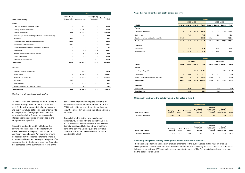|                                                            |                                                                | <b>Parent</b>   |                                            |                              |
|------------------------------------------------------------|----------------------------------------------------------------|-----------------|--------------------------------------------|------------------------------|
| 2020-12-31 (MSEK)                                          | Valued at fair<br>value through<br>profit or loss <sup>1</sup> | Amortised cost  | Non-financial<br>assets and<br>liabilities | <b>Sum Carrying</b><br>value |
| <b>Assets</b>                                              |                                                                |                 |                                            |                              |
| Cash and balances at central banks                         |                                                                | 402.3           |                                            | 402.3                        |
| Lending to credit institutions                             | ۰                                                              | 1 7 1 6.4       |                                            | 1716.4                       |
| Lending to the public                                      | 216.8                                                          | 15 898.7        | $\overline{\phantom{0}}$                   | 16 115.5                     |
| Value change of interest-hedged items in portfolio hedging | $\overline{\phantom{a}}$                                       | 47.1            |                                            | 47.1                         |
| <b>Derivatives</b>                                         | 16.7                                                           |                 |                                            | 16.7                         |
| Bonds and other interest-bearing securities                | 482.4                                                          |                 |                                            | 482.4                        |
| Government debt instruments                                | 238.2                                                          |                 | ۰                                          | 238.2                        |
| Shares and participations in associated companies          | $\overline{\phantom{0}}$                                       | $\qquad \qquad$ | 4.7                                        | 4.7                          |
| Other assets                                               |                                                                | 18.0            | 152.0                                      | 170.0                        |
| Prepaid expenses and accrued income                        |                                                                | 5.5             | 16.9                                       | 22.4                         |
| Assets held for sale                                       |                                                                | 714.6           | ÷                                          | 714.6                        |
| Total non-financial assets                                 |                                                                |                 | 115.1                                      | 115.1                        |
| <b>Total assets</b>                                        | 954.1                                                          | 18 802.6        | 288.6                                      | 20 045.3                     |
| <b>Liabilities</b>                                         |                                                                |                 |                                            |                              |
| Liabilities to credit institutions                         | ۰                                                              | 582.2           |                                            | 582.2                        |
| <b>Issued bonds</b>                                        | $\overline{\phantom{0}}$                                       | 4954.5          |                                            | 4954.5                       |
| Deposits from the public                                   | $\overline{\phantom{0}}$                                       | 12 612.9        | ۰                                          | 12612.9                      |
| <b>Derivatives</b>                                         | 55.8                                                           |                 |                                            | 55.8                         |
| <b>Other liabilities</b>                                   |                                                                | 31.9            | 15.7                                       | 47.6                         |
| Accrued expenses and prepaid income                        |                                                                | 78.5            |                                            | 78.5                         |
| <b>Total liabilities</b>                                   | 55.8                                                           | 18 260.0        | 15.7                                       | 18 331.5                     |

*1 Mandatorily at fair value through profit and loss*

Financial assets and liabilities are both valued at fair value through profit or loss and amortised cost. All derivative contracts included in assets and liabilities valued at fair value are entered into for the purpose of hedging interest rate- and currency risks in the Group's business and all interest-bearing securities are included in the Group's liquidity portfolio.

Regarding lending to credit institutions, the carrying value is considered consistent with the fair value since the post is not subject to significant value changes. Any currency effects are recorded in the income statement. There is no material difference in lending to the public if all loans were lent to the interest rates per December 31st compared to the current interest rate of the

loans. Method for determining the fair value of derivatives is described in the Annual report for 2020, Note 1. Bonds and other interest-bearing securities quoted in an active market are valued at fair value.

Deposits from the public have mainly short term maturity profiles why the market value is in accordance with the carrying value. For all other financial assets and liabilities with a short term period the carrying value equals the fair value since the discounted value does not produce a noticeable effect.

## Valued at fair value through profit or loss per level

|                                           |                          |                          |                              | Group        |                          |                          |                          |       |
|-------------------------------------------|--------------------------|--------------------------|------------------------------|--------------|--------------------------|--------------------------|--------------------------|-------|
|                                           |                          |                          | 2021-12-31                   |              |                          | 2020-12-31               |                          |       |
| (MSEK)                                    | Level 1                  | Level 2                  | Level 3                      | <b>Total</b> | Level 1                  | Level 2                  | Level 3                  | Total |
| <b>Assets</b>                             |                          |                          |                              |              |                          |                          |                          |       |
| Lending to the public                     | -                        | $\overline{\phantom{a}}$ | 542.3                        | 542.3        | ۰                        | $\overline{\phantom{a}}$ | 216.8                    | 216.8 |
| <b>Derivatives</b>                        | $\overline{\phantom{0}}$ | 76.0                     | $\overline{\phantom{0}}$     | 76.0         | $\overline{\phantom{a}}$ | 41.2                     | $\overline{\phantom{a}}$ | 41.2  |
| Bonds / other interest-bearing securities | 493.0                    | $\overline{\phantom{a}}$ | ۰.                           | 493.0        | 720.6                    | $\overline{\phantom{a}}$ | $\overline{\phantom{a}}$ | 720.6 |
| <b>Total assets</b>                       | 493.0                    | 76.0                     | 542.3                        | 1 1 1 1 .2   | 720.6                    | 41.2                     | 216.8                    | 978.6 |
| <b>Liabilities</b>                        |                          |                          |                              |              |                          |                          |                          |       |
| <b>Derivatives</b>                        | $\overline{\phantom{0}}$ | 31.4                     | $\overline{\phantom{0}}$     | 31.4         | $\overline{\phantom{a}}$ | 55.8                     | $\overline{\phantom{a}}$ | 55.8  |
| <b>Total liabilities</b>                  | -                        | 31.4                     | $\qquad \qquad \blacksquare$ | 31.4         | $\overline{\phantom{a}}$ | 55.8                     | -                        | 55.8  |

|                                           | <b>Parent</b>            |                          |                          |              |                          |            |                          |       |
|-------------------------------------------|--------------------------|--------------------------|--------------------------|--------------|--------------------------|------------|--------------------------|-------|
|                                           |                          |                          | 2021-12-31               |              |                          | 2020-12-31 |                          |       |
| (MSEK)                                    | Level 1                  | Level 2                  | Level 3                  | <b>Total</b> | Level 1                  | Level 2    | Level 3                  | Total |
| <b>Assets</b>                             |                          |                          |                          |              |                          |            |                          |       |
| Lending to the public                     | $\overline{\phantom{0}}$ | $\overline{\phantom{a}}$ | 542.3                    | 542.3        | -                        | Ξ.         | 216.8                    | 216.8 |
| <b>Derivatives</b>                        | $\overline{\phantom{0}}$ | 57.7                     | $\overline{\phantom{a}}$ | 57.7         | $\overline{\phantom{a}}$ | 16.7       | $\overline{\phantom{a}}$ | 16.7  |
| Bonds / other interest-bearing securities | 493.0                    | $\overline{\phantom{0}}$ | $\qquad \qquad -$        | 493.0        | 720.6                    | -          | $\overline{\phantom{a}}$ | 720.6 |
| <b>Total assets</b>                       | 493.0                    | 57.7                     | 542.3                    | 1093.0       | 720.6                    | 16.7       | 216.8                    | 954.1 |
| <b>Liabilities</b>                        |                          |                          |                          |              |                          |            |                          |       |
| <b>Derivatives</b>                        | $\overline{\phantom{0}}$ | 31.4                     | $\overline{\phantom{a}}$ | 31.4         | $\overline{\phantom{a}}$ | 55.8       | $\overline{\phantom{a}}$ | 55.8  |
| <b>Total liabilities</b>                  | $\overline{\phantom{0}}$ | 31.4                     | -                        | 31.4         | -                        | 55.8       | -                        | 55.8  |

## Changes in lending to the public valued at fair value in level 3

|                       |                            |                     |                          | <b>Group &amp; Parent</b>               |                                                        |                                    |              |
|-----------------------|----------------------------|---------------------|--------------------------|-----------------------------------------|--------------------------------------------------------|------------------------------------|--------------|
| 2021-12-31 (MSEK)     | <b>Carrying</b><br>balance | <b>New</b><br>loans | <b>Redeemed</b><br>loans | <b>Unrealised</b><br>interest<br>income | <b>Realised</b><br>interest and<br>operating<br>income | Gains/<br>losses on<br>revaluation | <b>Total</b> |
| Lending to the public | 216.8                      | 325.7               | $-15.2$                  | 14.8                                    | 1.0                                                    | $-0.9$                             | 542.3        |
|                       |                            |                     |                          |                                         |                                                        |                                    |              |
|                       |                            |                     |                          | <b>Group &amp; Parent</b>               |                                                        |                                    |              |
| 2020-12-31 (MSEK)     | Carrying<br>balance        | <b>New</b><br>loans | Redeemed<br>loans        | <b>Unrealised</b><br>interest<br>income | Realised<br>interest and<br>operating<br>income        | Gains/<br>losses on<br>revaluation | Total        |
| Lending to the public | 51.8                       | 164.1               | $-4.6$                   | 5.3                                     | 1.1                                                    | $-0.8$                             | 216.8        |

## Sensitivity analysis of lending to the public valued at fair value in level 3

The Bank has performed a sensitivity analysis of lending to the public valued at fair value by altering assumptions of unobservable inputs in the valuation model. The sensitivity analysis is based on a decrease in house price index of 10% and an increased intrest rate stress of 1%. The results have shown no impact on the portfolio's fair value.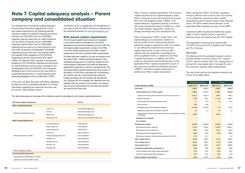## <span id="page-18-0"></span>Note 7. Capital adequacy analysis – Parent company and consolidated situation

For establishment of the Bank's capital adequacy, and providing information regarding own funds and capital requirements, the following external regulations apply; the Swedish banking and finance business Act (2004:297), the Act (2014:968) regarding special supervision of credit institutions and securities companies, the Act (2014:966) regarding capital buffers, the Act (1995:1559) regarding annual reports at credit institutions and securities companies, the Regulation (2014:993) regarding special supervision and capital buffers, the Swedish FSA's regulations (FFFS 2014:12) regarding prudential requirements and capital buffers, the Swedish FSA's regulations and general guidelines (FFFS 2008:25) regarding annual reports at credit institutions and securities companies, and the Regulation (EU) No 575/2013 of the European Parliament and of the Council of 26 June 2013 on prudential requirements for credit institutions and amending Regulation (EU) No 648/2012 ("CRR").

In this note, the Bank discloses information regarding the Bank and the Consolidated situation. For further information regarding the ownership structure, see the section "Administration report".

The Bank's report on capital and risk management in accordance with the Pillar III disclosure requirements, are published quarterly on [www.bluestepbank.com.](http:// www.bluestepbank.com)

## Risk-based capital requirement

The risk-based capital requirements are calculated in accordance with the Swedish Acts, the SFSA Regulations and General Guidelines, and the CRR. The risk-based capital requirements consist of the Pillar I minimum capital requirements, the Pillar II capital requirements, and the combined buffer requirements. The Bank allocates capital for its risks according to the risk-based Pillar I capital requirement based on the standardised approach for credit risk, market risk and credit valuation adjustment risk, while the alternative standardised approach is used for operational risk. The risk-based Pillar II capital requirements have, as part of the Bank's ICLAAP, been calculated for concentration risk, interest rate risk, credit spread risk, credit risk, foreign exchange rate risk, liquidity risk, operational risk, business risk, and strategic risk. Methods from the Swedish FSA are used for concentration risk, interest rate risk, and credit spread risk, and internal methods are used for the other risks.

The Bank and the Consolidated situation shall at all times satisfy a Common Equity Tier 1 capital ("CET1") ratio of at least 4.5%, Tier 1 capital ratio of at least 6%, total capital ratio of at least 8%, and the institution-specific buffer requirements.

| <b>Risk-based capital requirements</b>     |                            | Method                                   |  |
|--------------------------------------------|----------------------------|------------------------------------------|--|
| <b>Pillar I Capital Requirement</b>        |                            |                                          |  |
|                                            | Credit risk                | <b>Standardised Approach</b>             |  |
|                                            | CVA risk                   | <b>Standardised Approach</b>             |  |
| <b>Minimum Capital Requirement</b>         | <b>Market risk</b>         | <b>Standardised Approach</b>             |  |
|                                            | Operational risk           | <b>Alternative Standardised Approach</b> |  |
| <b>Pillar II Capital Requirement</b>       |                            |                                          |  |
|                                            | <b>Concentration risk</b>  | <b>SFSA Method</b>                       |  |
|                                            | <b>Interest Rate risk</b>  | <b>SFSA Method</b>                       |  |
|                                            | Credit spread risk         | <b>SFSA Method</b>                       |  |
|                                            | Credit risk                | <b>Internal Method</b>                   |  |
| Pillar II Requirement ("P2R")              | Foreign Exchange Rate risk | <b>Internal Method</b>                   |  |
|                                            | Liquidity risk             | <b>Internal Method</b>                   |  |
|                                            | Operational risk           | <b>Internal Method</b>                   |  |
|                                            | <b>Business risk</b>       | <b>Internal Method</b>                   |  |
|                                            | Strategic risk             | <b>Internal Method</b>                   |  |
| Pillar II Guidance ("P2G")                 |                            |                                          |  |
| <b>Combined Buffer Requirement</b>         |                            |                                          |  |
| Countercyclical Capital Buffer ("CCyCB")   |                            |                                          |  |
| <b>Capital Conservation Buffer ("CCB")</b> |                            |                                          |  |

*Pillar I minimum capital requirement:* The minimum capital requirements for capital adequacy under Pillar I is that own funds shall constitute of at least 8% of the risk weighted assets ("RWAs"). The capital adequacy regulations specify a minimum own funds requirement based on RWAs for credit risk, credit valuation adjustment, market risk (foreign exchange risk), and operational risk.

*Pillar II requirement ("P2R"):* Under Pillar II, the capital adequacy is assessed in relation to the risk profile, and for determining whether additional capital is required for risks not covered or not sufficiently covered by the minimum capital requirement. As part of the ICLAAP, material risks are assessed in quantitative as well as qualitative terms, to determine the Pillar II capital requirement. In addition, the SFSA makes an assessment and formal decision of the applicable Pillar II capital requirement as part of the supervisory review and evaluation process ("SREP"). The Pillar II capital requirement is additional to Pillar I capital requirement.

### **Capital Adequacy (MSEK)**

*Pillar II guidance ("P2G"):* The Pillar II guidance ensures sufficient own funds for risks not covered, or not sufficiently covered, by other capital requirements, and to absorb losses under financial stress. The SFSA makes formal decision of the applicable Pillar II guidance as part of the SREP.

*Combined buffer requirement:* Additional capital buffer is held to absorb losses in periods of financial stress, and shall be met with CET1 capital.

The applicable countercyclical capital buffer ("CCyCB") factors are 0% in Sweden and Finland, and 1% in Norway.

## Own funds

The own funds and the risk exposure amounts are shown in the table below.

|                                                                                     | <b>Consolidated situation</b> |                          | <b>Parent</b>            |                  |
|-------------------------------------------------------------------------------------|-------------------------------|--------------------------|--------------------------|------------------|
| pital Adequacy (MSEK)                                                               | 2021-12-31                    | 2020-12-31               | 2021-12-31               | 2020-12-31       |
| n funds                                                                             | 1 3 9 0.1                     | 1617.2                   | 1 409.7                  | 1 605.6          |
| ommon Equity Tier 1 (CET1) capital                                                  | 1 3 9 0 . 1                   | 1617.2                   | 1 409.7                  | 1 605.6          |
| Capital instruments and the related share premium accounts                          | 4 4 5 1 . 4                   | 4451.4                   | 663.7                    | 663.7            |
| <b>Retained earnings</b>                                                            | 231.0                         | 229.1                    | 1 1 1 4 .8               | 1066.2           |
| Accumulated other comprenhensive income                                             | 1.7                           | $-17.4$                  | 4.2                      | $-16.2$          |
| Other reserves                                                                      | 26.0                          | 26.0                     | $\overline{\phantom{a}}$ |                  |
| Intangible assets (net of related tax liability)                                    | $-3018.5$                     | $-3070.9$                | $-71.5$                  | $-107.1$         |
| Regulatory adjustment for prudent valuation                                         | $-1.5$                        | $-1.1$                   | $-1.5$                   | $-1.1$           |
| Independently reviewed interim profits net of any foreseeable charge<br>or dividend | $-300.0$                      |                          | $-300.0$                 |                  |
| dditional Tier 1 capital                                                            | $\overline{\phantom{0}}$      |                          |                          |                  |
| ler 2 Capital                                                                       |                               | $\overline{\phantom{a}}$ |                          |                  |
| k Exposure Amount                                                                   | 8 470.7                       | 8 2 2 3 . 0              | 8 2 5 7.5                | 7944.0           |
| sk exposure amount credit risk                                                      | 7 1 2 4 .9                    | 7086.7                   | 7018.9                   | 6964.7           |
| sk exposure amount market risk                                                      | 494.1                         | 310.0                    | 494.1                    | 310.0            |
| isk exposure amount operational risk                                                | 830.6                         | 774.6                    | 744.5                    | 669.0            |
| isk exposure amount credit valuation adjustment risk (CVA)                          | 21.1                          | 51.7                     |                          | 0.2 <sub>0</sub> |
| T 1 capital ratio, %                                                                | 16.4%                         | 19.7%                    | 17.1%                    | 20.2%            |
| r 1 capital ratio, %                                                                | 16.4%                         | 19.7%                    | 17.1%                    | 20.2%            |
| al capital ratio, %                                                                 | 16.4%                         | 19.7%                    | 17.1%                    | 20.2%            |
| titution specific buffer requirement, %                                             | 2.9%                          | 2.9%                     | 2.9%                     | $2.9\%$          |
| which capital conservation buffer requirement                                       | 2.5%                          | 2.5%                     | 2.5%                     | 2.5%             |
| which countercyclical buffer requirement                                            | 0.4%                          | 0.4%                     | 0.4%                     | 0.4%             |
| T1 available to meet buffers                                                        | 8.4%                          | 11.7%                    | 9.1%                     | 12.0%            |

The table below gives an overview of the methods used for calculating the risk-based capital requirement.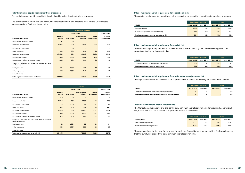## Pillar I minimum capital requirement for credit risk

The capital requirement for credit risk is calculated by using the standardised approach.

The break-down of RWAs and the minimum capital requirement per exposure class for the Consolidated situation and the Bank are shown below.

|                                                                              |                          | <b>Consolidated situation</b> |                                |                        |                        |
|------------------------------------------------------------------------------|--------------------------|-------------------------------|--------------------------------|------------------------|------------------------|
|                                                                              |                          | 2021-12-31                    |                                |                        | 2020-12-31             |
| <b>Exposure class (MSEK)</b>                                                 | <b>Exposed</b><br>amount | <b>Risk weight</b>            | <b>Risk weighted</b><br>amount | Capital<br>requirement | Capital<br>requirement |
| Governments or central banks                                                 | 978.7                    | O%                            |                                |                        |                        |
| <b>Exposures to institutions</b>                                             | 1 3 8 2 . 1              | 20%                           | 276.4                          | 22.1                   | 35.5                   |
| <b>Exposures to corporates</b>                                               |                          | O%                            |                                |                        |                        |
| Retail exposures                                                             | 43.2                     | 75%                           | 32.4                           | 2.6                    | 44.6                   |
| Exposures to mortgages                                                       | 17953.4                  | 36%                           | 6 4 1 3.5                      | 513.1                  | 451.0                  |
| <b>Exposures in default</b>                                                  | 289.8                    | 100%                          | 290.1                          | 23.2                   | 25.9                   |
| Exposures in the form of covered bonds                                       | 283.5                    | 10%                           | 28.4                           | 2.3                    | 2.3                    |
| Claims on institutions and corporates with a short-term<br>credit assessment |                          |                               |                                |                        |                        |
| <b>Equity exposures</b>                                                      | 12.4                     | 100%                          | 12.4                           | 1.0                    | 0.9                    |
| Other exposures                                                              | 71.7                     | 100%                          | 71.7                           | 5.7                    | 6.7                    |
| <b>Securitisations</b>                                                       |                          | $\overline{\phantom{0}}$      | -                              |                        |                        |
| Total capital requirement for credit risk                                    | 21 014.8                 |                               | 7 1 2 4 .9                     | 570.0                  | 566.9                  |

|                                                                              | <b>Parent</b>            |                    |                                |                               |                        |
|------------------------------------------------------------------------------|--------------------------|--------------------|--------------------------------|-------------------------------|------------------------|
|                                                                              |                          | 2021-12-31         |                                |                               | 2020-12-31             |
| <b>Exposure class (MSEK)</b>                                                 | <b>Exposed</b><br>amount | <b>Risk weight</b> | <b>Risk weighted</b><br>amount | <b>Capital</b><br>requirement | Capital<br>requirement |
| Governments or central banks                                                 | 967.6                    | 0%                 |                                |                               |                        |
| <b>Exposures to institutions</b>                                             | 1 0 9 4 .3               | 20%                | 218.9                          | 17.5                          | 29.6                   |
| <b>Exposures to corporates</b>                                               | 1.9                      | 100%               | 1.9                            | 0.2                           | 0.4                    |
| Retail exposures                                                             | 43.2                     | 75%                | 32.4                           | 2.6                           | 44.6                   |
| <b>Exposures to mortgages</b>                                                | 17953.4                  | 36%                | 6 4 1 3.5                      | 513.1                         | 451.1                  |
| <b>Exposures in default</b>                                                  | 289.8                    | 100%               | 290.1                          | 23.2                          | 25.9                   |
| Exposures in the form of covered bonds                                       | 283.5                    | 10%                | 28.4                           | 2.3                           | 2.3                    |
| Claims on institutions and corporates with a short-term<br>credit assessment |                          |                    |                                |                               |                        |
| Equity exposures                                                             | 0.2                      | 100%               | 0.2                            | 0.0                           | 0.4                    |
| Other exposures                                                              | 33.6                     | 100%               | 33.6                           | 2.7                           | 2.9                    |
| Securitisations                                                              | -                        | $\qquad \qquad -$  | -                              | -                             |                        |
| Total capital requirement for credit risk                                    | 20 667.5                 |                    | 7018.9                         | 561.5                         | 557.2                  |

## Pillar I minimum capital requirement for operational risk

The capital requirement for operational risk is calculated by using the alternative standardised approach.

|                                                |            | <b>Consolidated situation</b> |            | <b>Parent</b> |
|------------------------------------------------|------------|-------------------------------|------------|---------------|
| (MSEK)                                         | 2021-12-31 | 2020-12-31                    | 2021-12-31 | 2020-12-31    |
| Relevant indicator                             | 553.7      | 516.4                         | 496.3      | 446.0         |
| of which 12% (business line retail banking)    | 66.4       | 62.0                          | 59.6       | 53.5          |
| Total capital requirement for operational risk | 66.4       | 62.0                          | 59.6       | 53.5          |

### Pillar I minimum capital requirement for market risk

The minimum capital requirement for market risk is calculated by using the standardised approach and consists of foreign exchange rate risk.

|                                                    | <b>Consolidated situation</b> |            |            | <b>Parent</b> |
|----------------------------------------------------|-------------------------------|------------|------------|---------------|
| (MSEK)                                             | 2021-12-31                    | 2020-12-31 | 2021-12-31 | 2020-12-31    |
| Capital requirement for foreign exchange rate risk | 39.5                          | 24.8       | 39.5       | 24.8          |
| Total capital requirement for market risk          | 39.5                          | 24.8       | 39.5       | 24.8          |

## Pillar I minimum capital requirement for credit valuation adjustment risk

The capital requirement for credit valuation adjustment risk is calculated by using the standardised method.

|                                                                | <b>Consolidated situation</b> |            | <b>Parent</b> |            |
|----------------------------------------------------------------|-------------------------------|------------|---------------|------------|
| (MSEK)                                                         | 2021-12-31                    | 2020-12-31 | 2021-12-31    | 2020-12-31 |
| Capital requirements for credit valuation adjustment risk      | 1.7                           | 4.1        |               | 0.0        |
| Total capital requirement for credit valuation adjustment risk | 1.7                           | 4.1        |               | 0.0        |

### Total Pillar I minimum capital requirement

The Consolidated situation's and the Bank's total minimum capital requirements for credit risk, operational risk, market risk and credit valuation adjustment risk are shown below.

|                                           | <b>Consolidated situation</b> |            |            | <b>Parent</b> |
|-------------------------------------------|-------------------------------|------------|------------|---------------|
| Pillar I (MSEK)                           | 2021-12-31                    | 2020-12-31 | 2021-12-31 | 2020-12-31    |
| Pillar I capital requirement              | 677.7                         | 657.8      | 660.6      | 635.5         |
| <b>Total Pillar I capital requirement</b> | 677.7                         | 657.8      | 660.6      | 635.5         |

The minimum level for the own funds is met for both the Consolidated situation and the Bank, which means that the own funds exceed the total minimum capital requirements.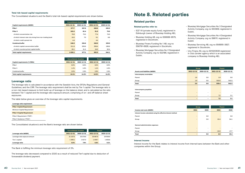

### <span id="page-20-0"></span>Total risk-based capital requirements

The Consolidated situation's and the Bank's total risk-based capital requirements are shown below.

|                                                           | <b>Consolidated situation</b> |            | <b>Parent</b> |            |
|-----------------------------------------------------------|-------------------------------|------------|---------------|------------|
| <b>Capital requirements (MSEK)</b>                        | 2021-12-31                    | 2020-12-31 | 2021-12-31    | 2020-12-31 |
| Pillar I                                                  | 677.7                         | 657.8      | 660.6         | 635.5      |
| Pillar II                                                 | 101.6                         | 82.4       | 91.0          | 79.6       |
| of which concentration risk                               | 78.9                          | 75.3       | 77.4          | 73.0       |
| of which interest rate risk arising from non-trading book | 18.3                          | 7.0        | 9.1           | 6.6        |
| of which credit spread risk                               | 4.4                           |            | 4.4           |            |
| <b>Combined buffer</b>                                    | 246.9                         | 236.8      | 240.9         | 229.0      |
| of which capital concervation buffer                      | 211.8                         | 205.6      | 206.4         | 198.6      |
| of which countercyclical capital buffer                   | 35.1                          | 31.3       | 34.5          | 30.4       |
| <b>Total capital requirements</b>                         | 1026.1                        | 977.1      | 992.5         | 944.1      |

|                                     | <b>Consolidated situation</b> |            | <b>Parent</b> |            |
|-------------------------------------|-------------------------------|------------|---------------|------------|
| <b>Capital requirements (% RWA)</b> | 2021-12-31                    | 2020-12-31 | 2021-12-31    | 2020-12-31 |
| Pillar I                            | 8.0%                          | 8.0%       | 8.0%          | 8.0%       |
| Pillar II                           | 1.2%                          | 1.0%       | 1.1%          | 1.0%       |
| Combined buffer                     | 2.9%                          | 2.9%       | 2.9%          | 2.9%       |
| <b>Total capital requirements</b>   | 12.1%                         | 11.9%      | 12.0%         | 11.9%      |

## Leverage ratio

The leverage ratio is calculated in accordance with the Swedish Acts, the SFSAs Regulations and General Guidelines, and the CRR. The leverage ratio requirement shall be met by Tier 1 capital. The leverage ratio is a non-risk-based measure to limit build-up of leverage on the balance sheet, and is calculated as the ratio between Tier 1 capital and the leverage ratio exposure amount, comprising of on- and off-balance sheet exposures.

The table below gives an overview of the leverage ratio capital requirements.

| Leverage ratio requirement           |
|--------------------------------------|
| <b>Pillar I Capital Requirement</b>  |
| Minimum Capital Requirement          |
| <b>Pillar II Capital Requirement</b> |
| Pillar II Requirement ("P2R")        |
| Pillar II Guidance ("P2G")           |

The Consolidated situations's and the Bank's leverage ratio are shown below.

|                                | <b>Consolidated situation</b> |            | <b>Parent</b> |            |
|--------------------------------|-------------------------------|------------|---------------|------------|
| Leverage ratio (MSEK)          | 2021-12-31                    | 2020-12-31 | 2021-12-31    | 2020-12-31 |
| Leverage ratio exposure amount | 21 107.3                      | 20 374.6   | 20 667.5      | 19936.6    |
| Tier 1 capital                 | 1 3 9 0 . 1                   | 1617.2     | 1 409.7       | 1 605.6    |
| Leverage ratio                 | 6.6%                          | 7.9%       | 6.8%          | 8.1%       |

The Bank is fulfilling the minimum leverage ratio requirement of 3%.

The leverage ratio decreased compared to 2020 as a result of reduced Tier1 capital due to deduction of foreseeable dividend payment.

## Note 8. Related parties

## Related parties

### Related parties refer to:

- EQT VII (private equity fund), registrered in Edinburgh (owner of Bluestep Holding AB),
- Bluestep Holding AB, org no 556668-9575, registered in Stockholm,
- Bluestep Finans Funding No 1 AB, org no 556791-6928, registered in Stockholm,
- Bluestep Mortgage Securities No 2 Designated Activity Company, org no 522186, registered in Dublin,
- Bluestep Mortgage Securities No 3 Designated Activity Company, org no 550839, registered in Dublin,
- Bluestep Mortgage Securities No 4 Designated Activity Company, org no 596111, registered in Dublin
- Bluestep Servicing AB, org no 556955-3927, registered in Stockholm,
- Uno Finans AS, org no 921320639 registrered in Oslo (broker agency which is an associated company to Bluestep Holding AB).

|                                      | Group                    |                          | Parent     |            |
|--------------------------------------|--------------------------|--------------------------|------------|------------|
| <b>Assets and liabilities (MSEK)</b> | 2021-12-31               | 2020-12-31               | 2021-12-31 | 2020-12-31 |
| Intercompany receivables             |                          |                          |            |            |
| Parent                               | 1.9                      | 0.0                      | 1.9        | 0.0        |
| Group                                | 1.9                      | 0.0                      | 533.5      | 541.5      |
| Total                                | 3.9                      | 0.0                      | 535.4      | 541.5      |
|                                      |                          |                          |            |            |
| Intercompany payables                |                          |                          |            |            |
| Parent                               | -                        | -                        |            | -          |
| Group                                | -                        | $\overline{\phantom{0}}$ | 7,2        | 3.1        |
| Total                                | $\overline{\phantom{0}}$ | -                        | 7,2        | 3.1        |

|                                                                | Group           |                          | Parent  |         |
|----------------------------------------------------------------|-----------------|--------------------------|---------|---------|
| Income and costs (MSEK)                                        | 2021            | 2020                     | 2021    | 2020    |
| Interest income calculated using the effective interest method |                 |                          |         |         |
| Parent                                                         | $\qquad \qquad$ | 0.0                      | -       | 0.0     |
| Group                                                          | $\qquad \qquad$ | 0.0                      | 32.4    | 54.1    |
|                                                                |                 |                          |         |         |
| <b>General administration expenses</b>                         |                 |                          |         |         |
| Parent                                                         |                 | $\overline{\phantom{a}}$ |         | -       |
| Group                                                          |                 | $\overline{\phantom{a}}$ | $-23.9$ | $-27.7$ |
| Total                                                          |                 | 0.0                      | 8.5     | 26.4    |

### Interest income

Interest income for the Bank relates to interest income from internal loans between the Bank and other companies within the Group.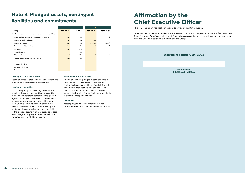

## <span id="page-21-0"></span>Note 9. Pledged assets, contingent liabilities and commitments

|                                                              | Group      |            | <b>Parent</b> |            |
|--------------------------------------------------------------|------------|------------|---------------|------------|
| (MSEK)                                                       | 2021-12-31 | 2020-12-31 | 2021-12-31    | 2020-12-31 |
| Pledged assets and comparable securities for own liabilities |            |            |               |            |
| Shares and participations in associated companies            | 0.0        | 0.0        |               | 0.0        |
| Lending to credit institutions                               | 144.9      | 138.7      | 1.2           |            |
| Lending to the public                                        | 6851.8     | 4 3 6 6.7  | 6851.8        | 4 3 6 6.7  |
| Government debt securities                                   | 18.3       | 19.0       | 18.3          | 19.0       |
| <b>Derivatives</b>                                           | 18.3       | 24.5       |               |            |
| Intangible assets                                            |            | 0.0        |               |            |
| Other assets                                                 | 50.7       | 115.1      | 49.6          | 115.1      |
| Prepaid expenses and accrued income                          | 0.1        | 0.2        |               |            |
|                                                              |            |            |               |            |
| <b>Contingent liabilities</b>                                |            |            |               |            |
| <b>Contingent liabilities</b>                                |            | -          |               |            |
| Commitments                                                  |            | -          |               |            |

### Lending to credit institutions

Reserved funds related to RMBS-transactions and the Bank of Finland reserve requirement.

### Lending to the public

Mainly comprising collateral registered for the benefit of holders of covered bonds issued by the Bank. The collateral comprise loans granted against mortgages in single-family homes, second homes and tenant-owners' rights with a loanto-value ratio within 75 per cent of the market value. In the event of the Bank's insolvency, the holders of the covered bonds have prior rights to the pledged assets. A smaller part also relates to mortgage loans pledged as collateral for the Group's remaining RMBS-transaction.

### Government debt securities

Relates to collateral pledged in case of negative balances on accounts held with the Swedish Central Bank. Accounts with the Swedish Central Bank are used for clearing between banks. If a payment obligation (negative account balance) is not met, the Swedish Central Bank has a possibility to claim the pledged collateral.

## **Derivatives**

Assets pledged as collateral for the Group's currency- and interest rate derivative-transactions.

# Affirmation by the Chief Executive Officer

This Year-end report has not been subject to review by the Bank's auditor.

The Chief Executive Officer certifies that the Year-end report for 2021 provides a true and fair view of the Parent's and the Group's operations, their financial positions and earnings as well as describes significant risks and uncertainties facing the Parent and the Group.

## Stockholm February 24, 2022

Björn Lander Chief Executive Officer